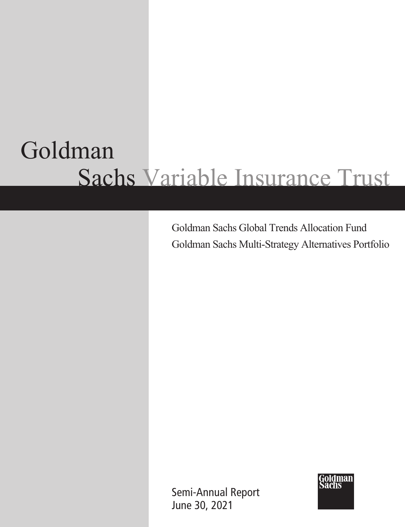# Goldman Sachs Variable Insurance Trust

Goldman Sachs Global Trends Allocation Fund Goldman Sachs Multi-Strategy Alternatives Portfolio

Semi-Annual Report June 30, 2021

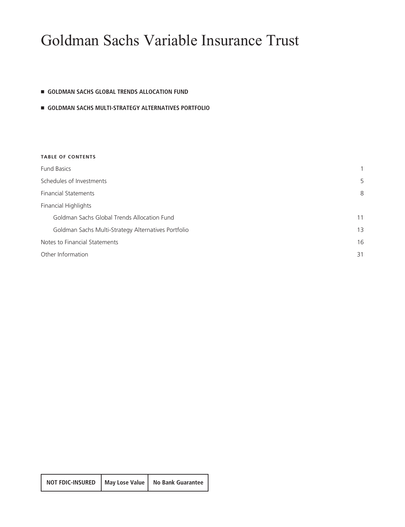# Goldman Sachs Variable Insurance Trust

### **E** GOLDMAN SACHS GLOBAL TRENDS ALLOCATION FUND

### - **GOLDMAN SACHS MULTI-STRATEGY ALTERNATIVES PORTFOLIO**

| <b>TABLE OF CONTENTS</b>                            |    |
|-----------------------------------------------------|----|
| <b>Fund Basics</b>                                  | 1  |
| Schedules of Investments                            | 5  |
| <b>Financial Statements</b>                         | 8  |
| Financial Highlights                                |    |
| Goldman Sachs Global Trends Allocation Fund         | 11 |
| Goldman Sachs Multi-Strategy Alternatives Portfolio | 13 |
| Notes to Financial Statements                       | 16 |
| Other Information                                   | 31 |
|                                                     |    |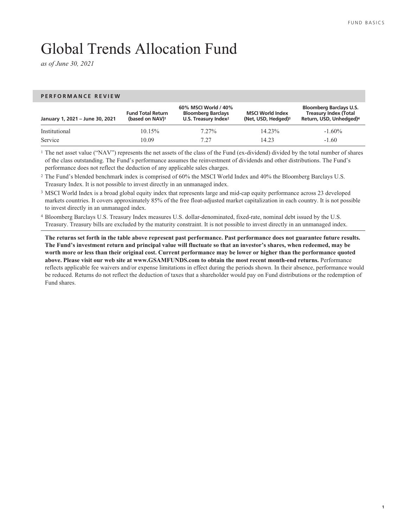**1**

# <span id="page-2-0"></span>Global Trends Allocation Fund

*as of June 30, 2021*

### **PERFORMANCE REVIEW**

| January 1, 2021 - June 30, 2021 | <b>Fund Total Return</b><br>(based on NAV) <sup>1</sup> | 60% MSCI World / 40%<br><b>Bloomberg Barclays</b><br>U.S. Treasury Index <sup>2</sup> | <b>MSCI World Index</b><br>(Net, USD, Hedged) <sup>3</sup> | <b>Bloomberg Barclays U.S.</b><br><b>Treasury Index (Total</b><br>Return, USD, Unhedged) <sup>4</sup> |
|---------------------------------|---------------------------------------------------------|---------------------------------------------------------------------------------------|------------------------------------------------------------|-------------------------------------------------------------------------------------------------------|
| Institutional                   | $10.15\%$                                               | $7.27\%$                                                                              | $14.23\%$                                                  | $-1.60\%$                                                                                             |
| Service                         | 10.09                                                   | 7.27                                                                                  | 14.23                                                      | $-1.60$                                                                                               |

<sup>1</sup> The net asset value ("NAV") represents the net assets of the class of the Fund (ex-dividend) divided by the total number of shares of the class outstanding. The Fund's performance assumes the reinvestment of dividends and other distributions. The Fund's performance does not reflect the deduction of any applicable sales charges.

<sup>2</sup> The Fund's blended benchmark index is comprised of 60% the MSCI World Index and 40% the Bloomberg Barclays U.S. Treasury Index. It is not possible to invest directly in an unmanaged index.

<sup>3</sup> MSCI World Index is a broad global equity index that represents large and mid-cap equity performance across 23 developed markets countries. It covers approximately 85% of the free float-adjusted market capitalization in each country. It is not possible to invest directly in an unmanaged index.

<sup>4</sup> Bloomberg Barclays U.S. Treasury Index measures U.S. dollar-denominated, fixed-rate, nominal debt issued by the U.S. Treasury. Treasury bills are excluded by the maturity constraint. It is not possible to invest directly in an unmanaged index.

**The returns set forth in the table above represent past performance. Past performance does not guarantee future results. The Fund's investment return and principal value will fluctuate so that an investor's shares, when redeemed, may be worth more or less than their original cost. Current performance may be lower or higher than the performance quoted above. Please visit our web site at www.GSAMFUNDS.com to obtain the most recent month-end returns.** Performance reflects applicable fee waivers and/or expense limitations in effect during the periods shown. In their absence, performance would be reduced. Returns do not reflect the deduction of taxes that a shareholder would pay on Fund distributions or the redemption of Fund shares.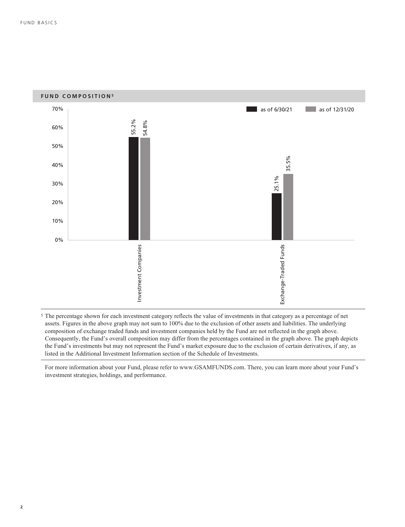

<sup>5</sup> The percentage shown for each investment category reflects the value of investments in that category as a percentage of net assets. Figures in the above graph may not sum to 100% due to the exclusion of other assets and liabilities. The underlying composition of exchange traded funds and investment companies held by the Fund are not reflected in the graph above. Consequently, the Fund's overall composition may differ from the percentages contained in the graph above. The graph depicts the Fund's investments but may not represent the Fund's market exposure due to the exclusion of certain derivatives, if any, as listed in the Additional Investment Information section of the Schedule of Investments.

For more information about your Fund, please refer to www.GSAMFUNDS.com. There, you can learn more about your Fund's investment strategies, holdings, and performance.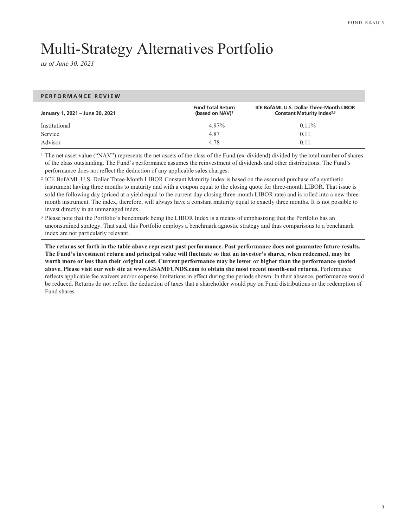# Multi-Strategy Alternatives Portfolio

*as of June 30, 2021*

**PERFORMANCE REVIEW**

| January 1, 2021 - June 30, 2021 | <b>Fund Total Return</b><br>(based on NAV) <sup>1</sup> | <b>ICE BofAML U.S. Dollar Three-Month LIBOR</b><br><b>Constant Maturity Index</b> <sup>2,3</sup> |  |  |  |
|---------------------------------|---------------------------------------------------------|--------------------------------------------------------------------------------------------------|--|--|--|
| Institutional                   | 4.97%                                                   | $0.11\%$                                                                                         |  |  |  |
| Service                         | 4.87                                                    | 0.11                                                                                             |  |  |  |
| Advisor                         | 4.78                                                    | 0.11                                                                                             |  |  |  |

<sup>1</sup> The net asset value ("NAV") represents the net assets of the class of the Fund (ex-dividend) divided by the total number of shares of the class outstanding. The Fund's performance assumes the reinvestment of dividends and other distributions. The Fund's performance does not reflect the deduction of any applicable sales charges.

<sup>2</sup> ICE BofAML U.S. Dollar Three-Month LIBOR Constant Maturity Index is based on the assumed purchase of a synthetic instrument having three months to maturity and with a coupon equal to the closing quote for three-month LIBOR. That issue is sold the following day (priced at a yield equal to the current day closing three-month LIBOR rate) and is rolled into a new threemonth instrument. The index, therefore, will always have a constant maturity equal to exactly three months. It is not possible to invest directly in an unmanaged index.

<sup>3</sup> Please note that the Portfolio's benchmark being the LIBOR Index is a means of emphasizing that the Portfolio has an unconstrained strategy. That said, this Portfolio employs a benchmark agnostic strategy and thus comparisons to a benchmark index are not particularly relevant.

**The returns set forth in the table above represent past performance. Past performance does not guarantee future results. The Fund's investment return and principal value will fluctuate so that an investor's shares, when redeemed, may be worth more or less than their original cost. Current performance may be lower or higher than the performance quoted above. Please visit our web site at www.GSAMFUNDS.com to obtain the most recent month-end returns.** Performance reflects applicable fee waivers and/or expense limitations in effect during the periods shown. In their absence, performance would be reduced. Returns do not reflect the deduction of taxes that a shareholder would pay on Fund distributions or the redemption of Fund shares.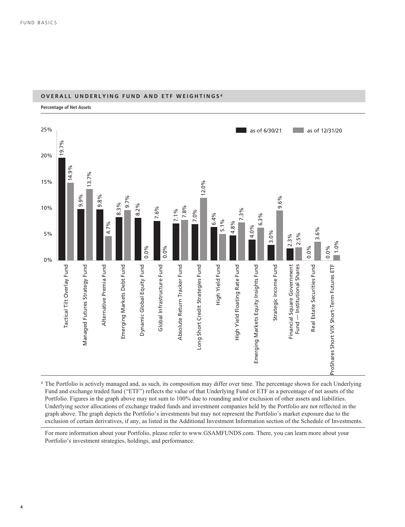

### **OVERALL UNDERLYING FUND AND ETF WEIGHTINGS <sup>4</sup>**

<sup>4</sup> The Portfolio is actively managed and, as such, its composition may differ over time. The percentage shown for each Underlying Fund and exchange traded fund ("ETF") reflects the value of that Underlying Fund or ETF as a percentage of net assets of the Portfolio. Figures in the graph above may not sum to 100% due to rounding and/or exclusion of other assets and liabilities. Underlying sector allocations of exchange traded funds and investment companies held by the Portfolio are not reflected in the graph above. The graph depicts the Portfolio's investments but may not represent the Portfolio's market exposure due to the exclusion of certain derivatives, if any, as listed in the Additional Investment Information section of the Schedule of Investments.

For more information about your Portfolio, please refer to www.GSAMFUNDS.com. There, you can learn more about your Portfolio's investment strategies, holdings, and performance.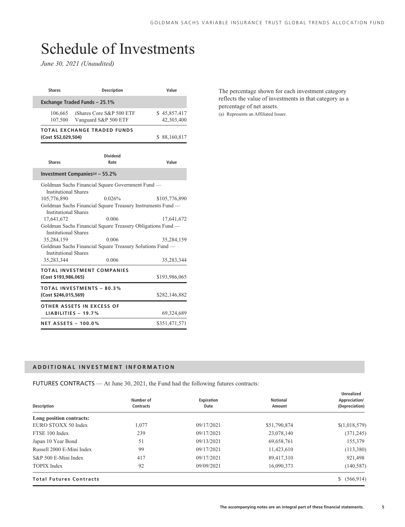# <span id="page-6-0"></span>Schedule of Investments

*June 30, 2021 (Unaudited)*

| <b>Shares</b>                                                                                                                        | <b>Description</b>                                                                                                                                                                                                                                                   | Value                                     |
|--------------------------------------------------------------------------------------------------------------------------------------|----------------------------------------------------------------------------------------------------------------------------------------------------------------------------------------------------------------------------------------------------------------------|-------------------------------------------|
|                                                                                                                                      | Exchange Traded Funds - 25.1%                                                                                                                                                                                                                                        |                                           |
| 106,665<br>107,500                                                                                                                   | iShares Core S&P 500 ETF<br>Vanguard S&P 500 ETF                                                                                                                                                                                                                     | \$45,857,417<br>42,303,400                |
| (Cost \$52,029,504)                                                                                                                  | <b>TOTAL EXCHANGE TRADED FUNDS</b>                                                                                                                                                                                                                                   | \$88,160,817                              |
| <b>Shares</b>                                                                                                                        | <b>Dividend</b><br>Rate                                                                                                                                                                                                                                              | Value                                     |
|                                                                                                                                      | Investment Companies <sup>(a)</sup> - 55.2%                                                                                                                                                                                                                          |                                           |
| <b>Institutional Shares</b><br>105,776,890<br><b>Institutional Shares</b><br>17,641,672<br><b>Institutional Shares</b><br>35,284,159 | Goldman Sachs Financial Square Government Fund -<br>0.026%<br>Goldman Sachs Financial Square Treasury Instruments Fund -<br>0.006<br>Goldman Sachs Financial Square Treasury Obligations Fund -<br>0.006<br>Goldman Sachs Financial Square Treasury Solutions Fund — | \$105,776,890<br>17,641,672<br>35,284,159 |
| <b>Institutional Shares</b><br>35,283,344                                                                                            | 0.006                                                                                                                                                                                                                                                                | 35,283,344                                |
| (Cost \$193,986,065)                                                                                                                 | TOTAL INVESTMENT COMPANIES                                                                                                                                                                                                                                           | \$193,986,065                             |
| (Cost \$246,015,569)                                                                                                                 | <b>TOTAL INVESTMENTS - 80.3%</b>                                                                                                                                                                                                                                     | \$282,146,882                             |
|                                                                                                                                      | OTHER ASSETS IN EXCESS OF<br>LIABILITIES - $19.7%$                                                                                                                                                                                                                   | 69,324,689                                |
| <b>NET ASSETS - 100.0%</b>                                                                                                           |                                                                                                                                                                                                                                                                      | \$351,471,571                             |

The percentage shown for each investment category reflects the value of investments in that category as a percentage of net assets.

(a) Represents an Affiliated Issuer.

### **ADDITIONAL INVESTMENT INFORMATION**

FUTURES CONTRACTS — At June 30, 2021, the Fund had the following futures contracts:

| <b>Description</b>             | Number of<br><b>Contracts</b> | Expiration<br>Date | <b>Notional</b><br>Amount | <b>Unrealized</b><br>Appreciation/<br>(Depreciation) |
|--------------------------------|-------------------------------|--------------------|---------------------------|------------------------------------------------------|
| Long position contracts:       |                               |                    |                           |                                                      |
| EURO STOXX 50 Index            | 1,077                         | 09/17/2021         | \$51,790,874              | \$(1,018,579)                                        |
| FTSE 100 Index                 | 239                           | 09/17/2021         | 23,078,140                | (371, 245)                                           |
| Japan 10 Year Bond             | 51                            | 09/13/2021         | 69,658,761                | 155,379                                              |
| Russell 2000 E-Mini Index      | 99                            | 09/17/2021         | 11,423,610                | (113,380)                                            |
| S&P 500 E-Mini Index           | 417                           | 09/17/2021         | 89,417,310                | 921,498                                              |
| <b>TOPIX</b> Index             | 92                            | 09/09/2021         | 16,090,373                | (140, 587)                                           |
| <b>Total Futures Contracts</b> |                               |                    |                           | \$ (566,914)                                         |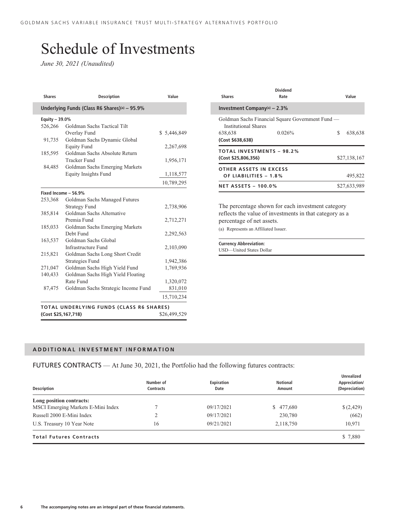# Schedule of Investments

*June 30, 2021 (Unaudited)*

| <b>Shares</b>       | <b>Description</b>                                 | Value        |  |  |  |  |  |  |
|---------------------|----------------------------------------------------|--------------|--|--|--|--|--|--|
|                     | Underlying Funds (Class R6 Shares)(a) - 95.9%      |              |  |  |  |  |  |  |
| Equity - 39.0%      |                                                    |              |  |  |  |  |  |  |
| 526,266             | Goldman Sachs Tactical Tilt                        |              |  |  |  |  |  |  |
|                     | Overlay Fund                                       | \$5,446,849  |  |  |  |  |  |  |
| 91,735              | Goldman Sachs Dynamic Global<br><b>Equity Fund</b> | 2,267,698    |  |  |  |  |  |  |
| 185,595             | Goldman Sachs Absolute Return                      |              |  |  |  |  |  |  |
|                     | <b>Tracker Fund</b>                                | 1,956,171    |  |  |  |  |  |  |
| 84,485              | Goldman Sachs Emerging Markets                     |              |  |  |  |  |  |  |
|                     | <b>Equity Insights Fund</b>                        | 1,118,577    |  |  |  |  |  |  |
|                     |                                                    | 10,789,295   |  |  |  |  |  |  |
|                     | Fixed Income - 56.9%                               |              |  |  |  |  |  |  |
| 253,368             | Goldman Sachs Managed Futures                      |              |  |  |  |  |  |  |
|                     | <b>Strategy Fund</b>                               | 2,738,906    |  |  |  |  |  |  |
| 385,814             | Goldman Sachs Alternative                          |              |  |  |  |  |  |  |
|                     | Premia Fund                                        | 2,712,271    |  |  |  |  |  |  |
| 185,033             | Goldman Sachs Emerging Markets                     |              |  |  |  |  |  |  |
|                     | Debt Fund                                          | 2,292,563    |  |  |  |  |  |  |
| 163,537             | Goldman Sachs Global                               |              |  |  |  |  |  |  |
|                     | Infrastructure Fund                                | 2,103,090    |  |  |  |  |  |  |
| 215,821             | Goldman Sachs Long Short Credit                    |              |  |  |  |  |  |  |
|                     | <b>Strategies Fund</b>                             | 1,942,386    |  |  |  |  |  |  |
| 271,047             | Goldman Sachs High Yield Fund                      | 1,769,936    |  |  |  |  |  |  |
| 140,433             | Goldman Sachs High Yield Floating                  |              |  |  |  |  |  |  |
|                     | Rate Fund                                          | 1,320,072    |  |  |  |  |  |  |
| 87,475              | Goldman Sachs Strategic Income Fund                | 831,010      |  |  |  |  |  |  |
|                     |                                                    | 15,710,234   |  |  |  |  |  |  |
|                     | <b>TOTAL UNDERLYING FUNDS (CLASS R6 SHARES)</b>    |              |  |  |  |  |  |  |
| (Cost \$25,167,718) |                                                    | \$26,499,529 |  |  |  |  |  |  |

| <b>Shares</b>                  | Dividend<br>Rate                                 | Value        |
|--------------------------------|--------------------------------------------------|--------------|
| Investment Company(a) $-2.3\%$ |                                                  |              |
| Institutional Shares           | Goldman Sachs Financial Square Government Fund — |              |
| 638,638                        | 0.026%                                           | S<br>638,638 |
| (Cost \$638,638)               |                                                  |              |
|                                | <b>TOTAL INVESTMENTS - 98.2%</b>                 |              |
| (Cost \$25,806,356)            |                                                  | \$27,138,167 |
| OTHER ASSETS IN EXCESS         |                                                  |              |
| OF LIABILITIES - 1.8%          |                                                  | 495,822      |
| <b>NET ASSETS - 100.0%</b>     |                                                  | \$27,633,989 |

The percentage shown for each investment category reflects the value of investments in that category as a percentage of net assets. (a) Represents an Affiliated Issuer.

**Currency Abbreviation:** USD—United States Dollar

### **ADDITIONAL INVESTMENT INFORMATION**

FUTURES CONTRACTS — At June 30, 2021, the Portfolio had the following futures contracts:

| <b>Description</b>                 | Number of<br><b>Contracts</b> | Expiration<br>Date | Notional<br>Amount | Unrealized<br>Appreciation/<br>(Depreciation) |
|------------------------------------|-------------------------------|--------------------|--------------------|-----------------------------------------------|
| Long position contracts:           |                               |                    |                    |                                               |
| MSCI Emerging Markets E-Mini Index |                               | 09/17/2021         | \$477,680          | \$(2,429)                                     |
| Russell 2000 E-Mini Index          |                               | 09/17/2021         | 230,780            | (662)                                         |
| U.S. Treasury 10 Year Note         | 16                            | 09/21/2021         | 2,118,750          | 10,971                                        |
| <b>Total Futures Contracts</b>     |                               |                    |                    | \$7,880                                       |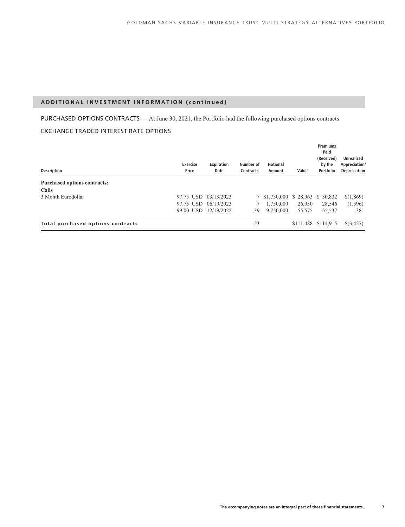### **ADDITIONAL INVESTMENT INFORMATION (continued)**

PURCHASED OPTIONS CONTRACTS — At June 30, 2021, the Portfolio had the following purchased options contracts: EXCHANGE TRADED INTEREST RATE OPTIONS

| <b>Description</b>                  | <b>Exercise</b><br>Price | <b>Expiration</b><br>Date | Number of<br><b>Contracts</b> | <b>Notional</b><br>Amount         | Value  | <b>Premiums</b><br>Paid<br>(Received)<br>by the<br>Portfolio | <b>Unrealized</b><br>Appreciation/<br><b>Depreciation</b> |
|-------------------------------------|--------------------------|---------------------------|-------------------------------|-----------------------------------|--------|--------------------------------------------------------------|-----------------------------------------------------------|
| <b>Purchased options contracts:</b> |                          |                           |                               |                                   |        |                                                              |                                                           |
| Calls                               |                          |                           |                               |                                   |        |                                                              |                                                           |
| 3 Month Eurodollar                  | 97.75 USD                | 03/13/2023                |                               | 7 \$1,750,000 \$ 28,963 \$ 30,832 |        |                                                              | \$(1,869)                                                 |
|                                     | 97.75 USD                | 06/19/2023                |                               | 1,750,000                         | 26,950 | 28,546                                                       | (1,596)                                                   |
|                                     |                          | 99.00 USD 12/19/2022      | 39                            | 9,750,000                         | 55,575 | 55,537                                                       | 38                                                        |
| Total purchased options contracts   |                          |                           | 53                            |                                   |        | \$111,488 \$114,915                                          | \$(3,427)                                                 |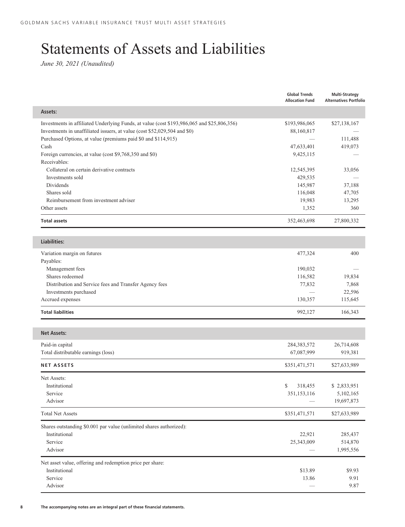# <span id="page-9-0"></span>Statements of Assets and Liabilities

*June 30, 2021 (Unaudited)*

|                                                                                                                                                                                       | <b>Global Trends</b><br><b>Allocation Fund</b>                 | <b>Multi-Strategy</b><br><b>Alternatives Portfolio</b> |
|---------------------------------------------------------------------------------------------------------------------------------------------------------------------------------------|----------------------------------------------------------------|--------------------------------------------------------|
| Assets:                                                                                                                                                                               |                                                                |                                                        |
| Investments in affiliated Underlying Funds, at value (cost \$193,986,065 and \$25,806,356)<br>Investments in unaffiliated issuers, at value (cost \$52,029,504 and \$0)               | \$193,986,065<br>88,160,817                                    | \$27,138,167                                           |
| Purchased Options, at value (premiums paid \$0 and \$114,915)<br>Cash<br>Foreign currencies, at value (cost \$9,768,350 and \$0)                                                      | 47,633,401<br>9,425,115                                        | 111,488<br>419,073                                     |
| Receivables:<br>Collateral on certain derivative contracts<br>Investments sold<br>Dividends<br>Shares sold<br>Reimbursement from investment adviser<br>Other assets                   | 12,545,395<br>429,535<br>145,987<br>116,048<br>19,983<br>1,352 | 33,056<br>37,188<br>47,705<br>13,295<br>360            |
| <b>Total assets</b>                                                                                                                                                                   | 352,463,698                                                    | 27,800,332                                             |
| <b>Liabilities:</b>                                                                                                                                                                   |                                                                |                                                        |
| Variation margin on futures<br>Payables:<br>Management fees<br>Shares redeemed<br>Distribution and Service fees and Transfer Agency fees<br>Investments purchased<br>Accrued expenses | 477,324<br>190,032<br>116,582<br>77,832<br>130,357             | 400<br>19,834<br>7,868<br>22,596<br>115,645            |
| <b>Total liabilities</b>                                                                                                                                                              | 992,127                                                        | 166,343                                                |
| <b>Net Assets:</b>                                                                                                                                                                    |                                                                |                                                        |
| Paid-in capital<br>Total distributable earnings (loss)                                                                                                                                | 284,383,572<br>67,087,999                                      | 26,714,608<br>919,381                                  |
| <b>NET ASSETS</b>                                                                                                                                                                     | \$351,471,571                                                  | \$27,633,989                                           |
| Net Assets:<br>Institutional<br>Service<br>Advisor                                                                                                                                    | \$<br>318,455<br>351,153,116                                   | \$2,833,951<br>5,102,165<br>19,697,873                 |
| <b>Total Net Assets</b>                                                                                                                                                               | \$351,471,571                                                  | \$27,633,989                                           |
| Shares outstanding \$0.001 par value (unlimited shares authorized):<br>Institutional<br>Service<br>Advisor                                                                            | 22,921<br>25,343,009                                           | 285,437<br>514,870<br>1,995,556                        |
| Net asset value, offering and redemption price per share:<br>Institutional<br>Service<br>Advisor                                                                                      | \$13.89<br>13.86                                               | \$9.93<br>9.91<br>9.87                                 |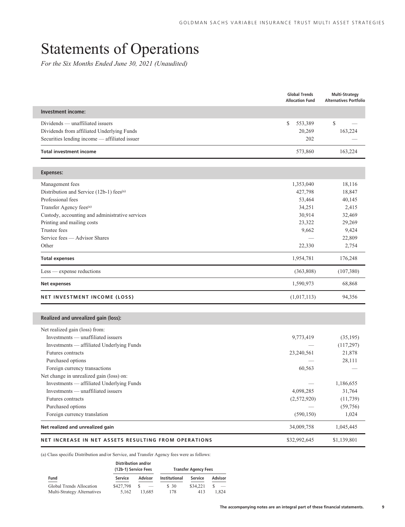# Statements of Operations

*For the Six Months Ended June 30, 2021 (Unaudited)*

|                                                      | <b>Global Trends</b><br><b>Allocation Fund</b> | <b>Multi-Strategy</b><br><b>Alternatives Portfolio</b> |
|------------------------------------------------------|------------------------------------------------|--------------------------------------------------------|
| Investment income:                                   |                                                |                                                        |
| Dividends — unaffiliated issuers                     | \$<br>553,389                                  | \$                                                     |
| Dividends from affiliated Underlying Funds           | 20,269                                         | 163,224                                                |
| Securities lending income - affiliated issuer        | 202                                            |                                                        |
| <b>Total investment income</b>                       | 573,860                                        | 163,224                                                |
| <b>Expenses:</b>                                     |                                                |                                                        |
| Management fees                                      | 1,353,040                                      | 18,116                                                 |
| Distribution and Service (12b-1) fees <sup>(a)</sup> | 427,798                                        | 18,847                                                 |
| Professional fees                                    | 53,464                                         | 40,145                                                 |
| Transfer Agency fees <sup>(a)</sup>                  | 34,251                                         | 2,415                                                  |
| Custody, accounting and administrative services      | 30,914                                         | 32,469                                                 |
| Printing and mailing costs                           | 23,322                                         | 29,269                                                 |
| <b>Trustee fees</b>                                  | 9,662                                          | 9,424                                                  |
| Service fees — Advisor Shares                        |                                                | 22,809                                                 |
| Other                                                | 22,330                                         | 2,754                                                  |
| <b>Total expenses</b>                                | 1,954,781                                      | 176,248                                                |
| $Less$ - expense reductions                          | (363, 808)                                     | (107, 380)                                             |
| <b>Net expenses</b>                                  | 1,590,973                                      | 68,868                                                 |
| <b>NET INVESTMENT INCOME (LOSS)</b>                  | (1,017,113)                                    | 94,356                                                 |
|                                                      |                                                |                                                        |
| Realized and unrealized gain (loss):                 |                                                |                                                        |
| Net realized gain (loss) from:                       |                                                |                                                        |
| Investments — unaffiliated issuers                   | 9,773,419                                      | (35, 195)                                              |
| Investments — affiliated Underlying Funds            |                                                | (117, 297)                                             |
| Futures contracts                                    | 23,240,561                                     | 21,878                                                 |
| Purchased options<br>Foreign currency transactions   | 60,563                                         | 28,111                                                 |
| Net change in unrealized gain (loss) on:             |                                                |                                                        |
| Investments - affiliated Underlying Funds            |                                                | 1,186,655                                              |
| Investments — unaffiliated issuers                   | 4,098,285                                      | 31,764                                                 |
| Futures contracts                                    | (2,572,920)                                    | (11, 739)                                              |
| Purchased options                                    |                                                | (59, 756)                                              |
| Foreign currency translation                         | (590, 150)                                     | 1,024                                                  |
| Net realized and unrealized gain                     | 34,009,758                                     | 1,045,445                                              |
| NET INCREASE IN NET ASSETS RESULTING FROM OPERATIONS | \$32,992,645                                   | \$1,139,801                                            |

(a) Class specific Distribution and/or Service, and Transfer Agency fees were as follows:

|                             | Distribution and/or<br>(12b-1) Service Fees |         |                      | <b>Transfer Agency Fees</b> |         |
|-----------------------------|---------------------------------------------|---------|----------------------|-----------------------------|---------|
| Fund                        | Service                                     | Advisor | <b>Institutional</b> | Service                     | Advisor |
| Global Trends Allocation    | \$427,798                                   | S       | \$30                 | \$34,221                    |         |
| Multi-Strategy Alternatives | 5.162                                       | 13.685  | 178                  | 413                         | 1.824   |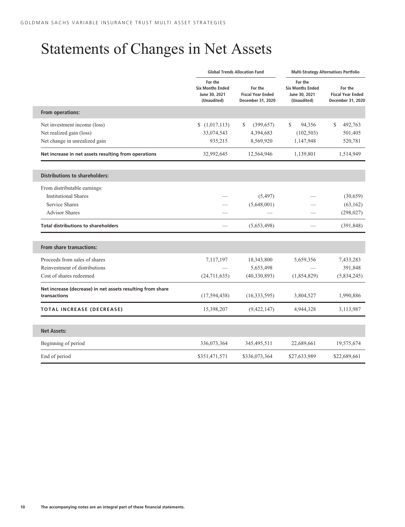# Statements of Changes in Net Assets

|                                                                            |                                                                    | <b>Global Trends Allocation Fund</b>                     |                                                                    | <b>Multi-Strategy Alternatives Portfolio</b>             |
|----------------------------------------------------------------------------|--------------------------------------------------------------------|----------------------------------------------------------|--------------------------------------------------------------------|----------------------------------------------------------|
|                                                                            | For the<br><b>Six Months Ended</b><br>June 30, 2021<br>(Unaudited) | For the<br><b>Fiscal Year Ended</b><br>December 31, 2020 | For the<br><b>Six Months Ended</b><br>June 30, 2021<br>(Unaudited) | For the<br><b>Fiscal Year Ended</b><br>December 31, 2020 |
| From operations:                                                           |                                                                    |                                                          |                                                                    |                                                          |
| Net investment income (loss)                                               | \$(1,017,113)                                                      | \$<br>(399, 657)                                         | \$<br>94,356                                                       | S.<br>492,763                                            |
| Net realized gain (loss)                                                   | 33,074,543                                                         | 4,394,683                                                | (102, 503)                                                         | 501,405                                                  |
| Net change in unrealized gain                                              | 935,215                                                            | 8,569,920                                                | 1,147,948                                                          | 520,781                                                  |
| Net increase in net assets resulting from operations                       | 32,992,645                                                         | 12,564,946                                               | 1,139,801                                                          | 1,514,949                                                |
|                                                                            |                                                                    |                                                          |                                                                    |                                                          |
| <b>Distributions to shareholders:</b>                                      |                                                                    |                                                          |                                                                    |                                                          |
| From distributable earnings:                                               |                                                                    |                                                          |                                                                    |                                                          |
| <b>Institutional Shares</b>                                                |                                                                    | (5,497)                                                  |                                                                    | (30,659)                                                 |
| <b>Service Shares</b>                                                      |                                                                    | (5,648,001)                                              |                                                                    | (63, 162)                                                |
| <b>Advisor Shares</b>                                                      |                                                                    |                                                          |                                                                    | (298, 027)                                               |
| <b>Total distributions to shareholders</b>                                 |                                                                    | (5,653,498)                                              |                                                                    | (391, 848)                                               |
|                                                                            |                                                                    |                                                          |                                                                    |                                                          |
| <b>From share transactions:</b>                                            |                                                                    |                                                          |                                                                    |                                                          |
| Proceeds from sales of shares                                              | 7,117,197                                                          | 18,343,800                                               | 5,659,356                                                          | 7,433,283                                                |
| Reinvestment of distributions                                              |                                                                    | 5,653,498                                                |                                                                    | 391,848                                                  |
| Cost of shares redeemed                                                    | (24,711,635)                                                       | (40, 330, 893)                                           | (1,854,829)                                                        | (5,834,245)                                              |
| Net increase (decrease) in net assets resulting from share<br>transactions | (17, 594, 438)                                                     | (16, 333, 595)                                           | 3,804,527                                                          | 1,990,886                                                |
|                                                                            |                                                                    |                                                          |                                                                    |                                                          |
| <b>TOTAL INCREASE (DECREASE)</b>                                           | 15,398,207                                                         | (9,422,147)                                              | 4,944,328                                                          | 3,113,987                                                |
|                                                                            |                                                                    |                                                          |                                                                    |                                                          |
| <b>Net Assets:</b>                                                         |                                                                    |                                                          |                                                                    |                                                          |
| Beginning of period                                                        | 336,073,364                                                        | 345,495,511                                              | 22,689,661                                                         | 19,575,674                                               |
| End of period                                                              | \$351,471,571                                                      | \$336,073,364                                            | \$27,633,989                                                       | \$22,689,661                                             |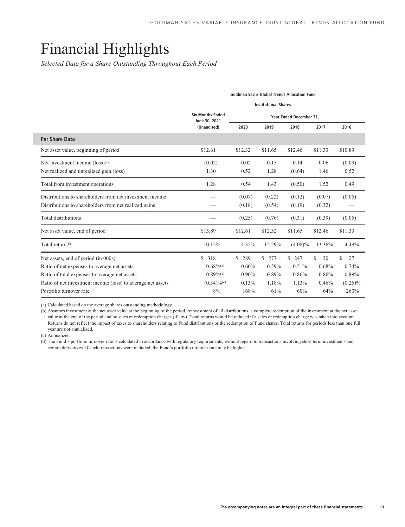# <span id="page-12-0"></span>Financial Highlights

*Selected Data for a Share Outstanding Throughout Each Period*

<span id="page-12-1"></span>

|                                                             |                                          | <b>Goldman Sachs Global Trends Allocation Fund</b> |                     |                         |         |            |  |  |  |
|-------------------------------------------------------------|------------------------------------------|----------------------------------------------------|---------------------|-------------------------|---------|------------|--|--|--|
|                                                             |                                          | <b>Institutional Shares</b>                        |                     |                         |         |            |  |  |  |
|                                                             | <b>Six Months Ended</b><br>June 30, 2021 |                                                    |                     | Year Ended December 31, |         |            |  |  |  |
|                                                             | (Unaudited)                              | 2020                                               | 2019                | 2018                    | 2017    | 2016       |  |  |  |
| <b>Per Share Data</b>                                       |                                          |                                                    |                     |                         |         |            |  |  |  |
| Net asset value, beginning of period                        | \$12.61                                  | \$12.32                                            | \$11.65             | \$12.46                 | \$11.33 | \$10.89    |  |  |  |
| Net investment income (loss) <sup>(a)</sup>                 | (0.02)                                   | 0.02                                               | 0.15                | 0.14                    | 0.06    | (0.03)     |  |  |  |
| Net realized and unrealized gain (loss)                     | 1.30                                     | 0.52                                               | 1.28                | (0.64)                  | 1.46    | 0.52       |  |  |  |
| Total from investment operations                            | 1.28                                     | 0.54                                               | 1.43                | (0.50)                  | 1.52    | 0.49       |  |  |  |
| Distributions to shareholders from net investment income    |                                          | (0.07)                                             | (0.22)              | (0.12)                  | (0.07)  | (0.05)     |  |  |  |
| Distributions to shareholders from net realized gains       |                                          | (0.18)                                             | (0.54)              | (0.19)                  | (0.32)  |            |  |  |  |
| Total distributions                                         |                                          | (0.25)                                             | (0.76)              | (0.31)                  | (0.39)  | (0.05)     |  |  |  |
| Net asset value, end of period                              | \$13.89                                  | \$12.61                                            | \$12.32             | \$11.65                 | \$12.46 | \$11.33    |  |  |  |
| Total return <sup>(b)</sup>                                 | 10.15%                                   | 4.35%                                              | 12.29%              | $(4.08)\%$              | 13.36%  | 4.49%      |  |  |  |
| Net assets, end of period (in 000s)                         | \$<br>318                                | 289<br>S                                           | $\mathbb{S}$<br>277 | \$<br>247               | S<br>30 | \$<br>27   |  |  |  |
| Ratio of net expenses to average net assets                 | $0.68\%$ <sup>(c)</sup>                  | $0.60\%$                                           | 0.59%               | 0.51%                   | 0.68%   | 0.74%      |  |  |  |
| Ratio of total expenses to average net assets               | $0.89\%$ <sup>(c)</sup>                  | $0.90\%$                                           | 0.89%               | 0.86%                   | 0.86%   | 0.89%      |  |  |  |
| Ratio of net investment income (loss) to average net assets | $(0.34)\%$ <sup>(c)</sup>                | 0.13%                                              | 1.18%               | 1.13%                   | 0.46%   | $(0.25)\%$ |  |  |  |
| Portfolio turnover rate <sup>(d)</sup>                      | 8%                                       | 168%                                               | 61%                 | 60%                     | 64%     | 260%       |  |  |  |

(a) Calculated based on the average shares outstanding methodology.

(b) Assumes investment at the net asset value at the beginning of the period, reinvestment of all distributions, a complete redemption of the investment at the net asset value at the end of the period and no sales or redemption charges (if any). Total returns would be reduced if a sales or redemption charge was taken into account. Returns do not reflect the impact of taxes to shareholders relating to Fund distributions or the redemption of Fund shares. Total returns for periods less than one full year are not annualized.

(c) Annualized.

(d) The Fund's portfolio turnover rate is calculated in accordance with regulatory requirements, without regard to transactions involving short term investments and certain derivatives. If such transactions were included, the Fund's portfolio turnover rate may be higher.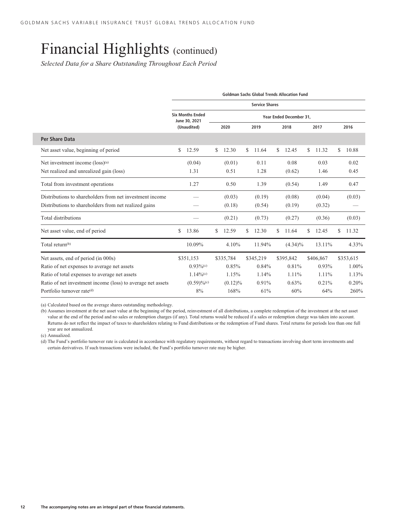*Selected Data for a Share Outstanding Throughout Each Period*

|                                                             | <b>Goldman Sachs Global Trends Allocation Fund</b> |                                          |    |            |    |           |    |                         |    |           |    |           |
|-------------------------------------------------------------|----------------------------------------------------|------------------------------------------|----|------------|----|-----------|----|-------------------------|----|-----------|----|-----------|
|                                                             | <b>Service Shares</b>                              |                                          |    |            |    |           |    |                         |    |           |    |           |
|                                                             |                                                    | <b>Six Months Ended</b><br>June 30, 2021 |    |            |    |           |    | Year Ended December 31, |    |           |    |           |
|                                                             |                                                    | (Unaudited)                              |    | 2020       |    | 2019      |    | 2018                    |    | 2017      |    | 2016      |
| Per Share Data                                              |                                                    |                                          |    |            |    |           |    |                         |    |           |    |           |
| Net asset value, beginning of period                        | \$                                                 | 12.59                                    | \$ | 12.30      | \$ | 11.64     | S. | 12.45                   | \$ | 11.32     | \$ | 10.88     |
| Net investment income (loss) <sup>(a)</sup>                 |                                                    | (0.04)                                   |    | (0.01)     |    | 0.11      |    | 0.08                    |    | 0.03      |    | 0.02      |
| Net realized and unrealized gain (loss)                     |                                                    | 1.31                                     |    | 0.51       |    | 1.28      |    | (0.62)                  |    | 1.46      |    | 0.45      |
| Total from investment operations                            |                                                    | 1.27                                     |    | 0.50       |    | 1.39      |    | (0.54)                  |    | 1.49      |    | 0.47      |
| Distributions to shareholders from net investment income    |                                                    |                                          |    | (0.03)     |    | (0.19)    |    | (0.08)                  |    | (0.04)    |    | (0.03)    |
| Distributions to shareholders from net realized gains       |                                                    |                                          |    | (0.18)     |    | (0.54)    |    | (0.19)                  |    | (0.32)    |    |           |
| Total distributions                                         |                                                    |                                          |    | (0.21)     |    | (0.73)    |    | (0.27)                  |    | (0.36)    |    | (0.03)    |
| Net asset value, end of period                              | S                                                  | 13.86                                    | \$ | 12.59      | S  | 12.30     | \$ | 11.64                   | S  | 12.45     | \$ | 11.32     |
| Total return <sup>(b)</sup>                                 |                                                    | 10.09%                                   |    | 4.10%      |    | 11.94%    |    | $(4.34)\%$              |    | 13.11%    |    | 4.33%     |
| Net assets, end of period (in 000s)                         |                                                    | \$351,153                                |    | \$335,784  |    | \$345,219 |    | \$395,842               |    | \$406,867 |    | \$353,615 |
| Ratio of net expenses to average net assets                 |                                                    | $0.93\%$ <sup>(c)</sup>                  |    | 0.85%      |    | 0.84%     |    | 0.81%                   |    | $0.93\%$  |    | 1.00%     |
| Ratio of total expenses to average net assets               |                                                    | $1.14\%$ <sup>(c)</sup>                  |    | 1.15%      |    | 1.14%     |    | 1.11%                   |    | 1.11%     |    | 1.13%     |
| Ratio of net investment income (loss) to average net assets |                                                    | $(0.59)\%$ <sup>(c)</sup>                |    | $(0.12)\%$ |    | 0.91%     |    | 0.63%                   |    | 0.21%     |    | 0.20%     |
| Portfolio turnover rate <sup>(d)</sup>                      |                                                    | 8%                                       |    | 168%       |    | 61%       |    | 60%                     |    | 64%       |    | 260%      |

(a) Calculated based on the average shares outstanding methodology.

(b) Assumes investment at the net asset value at the beginning of the period, reinvestment of all distributions, a complete redemption of the investment at the net asset value at the end of the period and no sales or redemption charges (if any). Total returns would be reduced if a sales or redemption charge was taken into account. Returns do not reflect the impact of taxes to shareholders relating to Fund distributions or the redemption of Fund shares. Total returns for periods less than one full year are not annualized.

(c) Annualized.

(d) The Fund's portfolio turnover rate is calculated in accordance with regulatory requirements, without regard to transactions involving short term investments and certain derivatives. If such transactions were included, the Fund's portfolio turnover rate may be higher.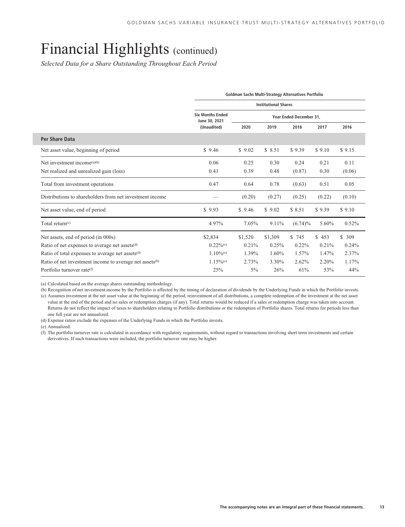*Selected Data for a Share Outstanding Throughout Each Period*

<span id="page-14-0"></span>

|                                                                     |                                          | Goldman Sachs Multi-Strategy Alternatives Portfolio |         |                         |        |        |  |  |
|---------------------------------------------------------------------|------------------------------------------|-----------------------------------------------------|---------|-------------------------|--------|--------|--|--|
|                                                                     | <b>Institutional Shares</b>              |                                                     |         |                         |        |        |  |  |
|                                                                     | <b>Six Months Ended</b><br>June 30, 2021 |                                                     |         | Year Ended December 31, |        |        |  |  |
|                                                                     | (Unaudited)                              | 2020                                                | 2019    | 2018                    | 2017   | 2016   |  |  |
| <b>Per Share Data</b>                                               |                                          |                                                     |         |                         |        |        |  |  |
| Net asset value, beginning of period                                | \$9.46                                   | \$9.02                                              | \$8.51  | \$9.39                  | \$9.10 | \$9.15 |  |  |
| Net investment income <sup>(a)(b)</sup>                             | 0.06                                     | 0.25                                                | 0.30    | 0.24                    | 0.21   | 0.11   |  |  |
| Net realized and unrealized gain (loss)                             | 0.41                                     | 0.39                                                | 0.48    | (0.87)                  | 0.30   | (0.06) |  |  |
| Total from investment operations                                    | 0.47                                     | 0.64                                                | 0.78    | (0.63)                  | 0.51   | 0.05   |  |  |
| Distributions to shareholders from net investment income            |                                          | (0.20)                                              | (0.27)  | (0.25)                  | (0.22) | (0.10) |  |  |
| Net asset value, end of period                                      | \$9.93                                   | \$9.46                                              | \$9.02  | \$8.51                  | \$9.39 | \$9.10 |  |  |
| Total return $(c)$                                                  | 4.97%                                    | 7.05%                                               | 9.11%   | $(6.74)\%$              | 5.60%  | 0.52%  |  |  |
| Net assets, end of period (in 000s)                                 | \$2,834                                  | \$1,520                                             | \$1,309 | \$745                   | \$453  | \$309  |  |  |
| Ratio of net expenses to average net assets <sup>(d)</sup>          | $0.22\%$ <sup>(e)</sup>                  | 0.21%                                               | 0.25%   | $0.22\%$                | 0.21%  | 0.24%  |  |  |
| Ratio of total expenses to average net assets <sup>(d)</sup>        | $1.10\%$ <sup>(e)</sup>                  | 1.39%                                               | 1.60%   | 1.57%                   | 1.47%  | 2.37%  |  |  |
| Ratio of net investment income to average net assets <sup>(b)</sup> | $1.15\%$ <sup>(e)</sup>                  | 2.73%                                               | 3.30%   | 2.62%                   | 2.20%  | 1.17%  |  |  |
| Portfolio turnover rate(f)                                          | 25%                                      | $5\%$                                               | 26%     | 61%                     | 53%    | 44%    |  |  |

(a) Calculated based on the average shares outstanding methodology.

(b) Recognition of net investment income by the Portfolio is affected by the timing of declaration of dividends by the Underlying Funds in which the Portfolio invests. (c) Assumes investment at the net asset value at the beginning of the period, reinvestment of all distributions, a complete redemption of the investment at the net asset

value at the end of the period and no sales or redemption charges (if any). Total returns would be reduced if a sales or redemption charge was taken into account. Returns do not reflect the impact of taxes to shareholders relating to Portfolio distributions or the redemption of Portfolio shares. Total returns for periods less than one full year are not annualized.

(d) Expense ratios exclude the expenses of the Underlying Funds in which the Portfolio invests.

(e) Annualized.

(f) The portfolio turnover rate is calculated in accordance with regulatory requirements, without regard to transactions involving short term investments and certain derivatives. If such transactions were included, the portfolio turnover rate may be higher.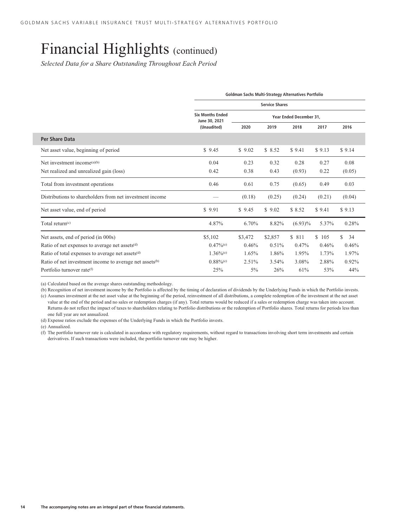*Selected Data for a Share Outstanding Throughout Each Period*

|                                                                     |                                          | Goldman Sachs Multi-Strategy Alternatives Portfolio |                         |            |        |          |  |  |
|---------------------------------------------------------------------|------------------------------------------|-----------------------------------------------------|-------------------------|------------|--------|----------|--|--|
|                                                                     | <b>Service Shares</b>                    |                                                     |                         |            |        |          |  |  |
|                                                                     | <b>Six Months Ended</b><br>June 30, 2021 |                                                     | Year Ended December 31. |            |        |          |  |  |
|                                                                     | (Unaudited)                              | 2020                                                | 2019                    | 2018       | 2017   | 2016     |  |  |
| Per Share Data                                                      |                                          |                                                     |                         |            |        |          |  |  |
| Net asset value, beginning of period                                | \$9.45                                   | \$9.02                                              | \$8.52                  | \$9.41     | \$9.13 | \$9.14   |  |  |
| Net investment income <sup>(a)(b)</sup>                             | 0.04                                     | 0.23                                                | 0.32                    | 0.28       | 0.27   | 0.08     |  |  |
| Net realized and unrealized gain (loss)                             | 0.42                                     | 0.38                                                | 0.43                    | (0.93)     | 0.22   | (0.05)   |  |  |
| Total from investment operations                                    | 0.46                                     | 0.61                                                | 0.75                    | (0.65)     | 0.49   | 0.03     |  |  |
| Distributions to shareholders from net investment income            |                                          | (0.18)                                              | (0.25)                  | (0.24)     | (0.21) | (0.04)   |  |  |
| Net asset value, end of period                                      | \$9.91                                   | \$9.45                                              | \$9.02                  | \$8.52     | \$9.41 | \$9.13   |  |  |
| Total return $(c)$                                                  | 4.87%                                    | 6.70%                                               | 8.82%                   | $(6.93)\%$ | 5.37%  | 0.28%    |  |  |
| Net assets, end of period (in 000s)                                 | \$5,102                                  | \$3,472                                             | \$2,857                 | \$ 811     | \$105  | \$<br>34 |  |  |
| Ratio of net expenses to average net assets <sup>(d)</sup>          | $0.47\%$ <sup>(e)</sup>                  | 0.46%                                               | 0.51%                   | 0.47%      | 0.46%  | 0.46%    |  |  |
| Ratio of total expenses to average net assets <sup>(d)</sup>        | $1.36\%$ <sup>(e)</sup>                  | 1.65%                                               | 1.86%                   | 1.95%      | 1.73%  | 1.97%    |  |  |
| Ratio of net investment income to average net assets <sup>(b)</sup> | $0.88\%$ <sup>(e)</sup>                  | $2.51\%$                                            | $3.54\%$                | 3.08%      | 2.88%  | 0.92%    |  |  |
| Portfolio turnover rate(f)                                          | 25%                                      | $5\%$                                               | 26%                     | 61%        | 53%    | 44%      |  |  |

(a) Calculated based on the average shares outstanding methodology.

(b) Recognition of net investment income by the Portfolio is affected by the timing of declaration of dividends by the Underlying Funds in which the Portfolio invests. (c) Assumes investment at the net asset value at the beginning of the period, reinvestment of all distributions, a complete redemption of the investment at the net asset

value at the end of the period and no sales or redemption charges (if any). Total returns would be reduced if a sales or redemption charge was taken into account. Returns do not reflect the impact of taxes to shareholders relating to Portfolio distributions or the redemption of Portfolio shares. Total returns for periods less than one full year are not annualized.

(d) Expense ratios exclude the expenses of the Underlying Funds in which the Portfolio invests.

(e) Annualized.

(f) The portfolio turnover rate is calculated in accordance with regulatory requirements, without regard to transactions involving short term investments and certain derivatives. If such transactions were included, the portfolio turnover rate may be higher.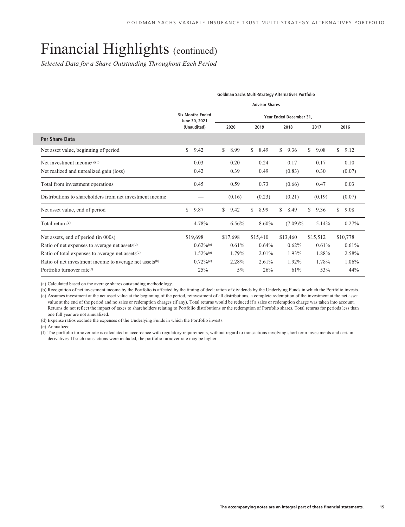*Selected Data for a Share Outstanding Throughout Each Period*

|                                                                     |     |                                          |    |          |    |          |    | Goldman Sachs Multi-Strategy Alternatives Portfolio |    |          |    |          |
|---------------------------------------------------------------------|-----|------------------------------------------|----|----------|----|----------|----|-----------------------------------------------------|----|----------|----|----------|
|                                                                     |     | <b>Advisor Shares</b>                    |    |          |    |          |    |                                                     |    |          |    |          |
|                                                                     |     | <b>Six Months Ended</b><br>June 30, 2021 |    |          |    |          |    | Year Ended December 31,                             |    |          |    |          |
|                                                                     |     | (Unaudited)                              |    | 2020     |    | 2019     |    | 2018                                                |    | 2017     |    | 2016     |
| <b>Per Share Data</b>                                               |     |                                          |    |          |    |          |    |                                                     |    |          |    |          |
| Net asset value, beginning of period                                | \$. | 9.42                                     | S. | 8.99     | \$ | 8.49     | S. | 9.36                                                | \$ | 9.08     | S. | 9.12     |
| Net investment income <sup>(a)(b)</sup>                             |     | 0.03                                     |    | 0.20     |    | 0.24     |    | 0.17                                                |    | 0.17     |    | 0.10     |
| Net realized and unrealized gain (loss)                             |     | 0.42                                     |    | 0.39     |    | 0.49     |    | (0.83)                                              |    | 0.30     |    | (0.07)   |
| Total from investment operations                                    |     | 0.45                                     |    | 0.59     |    | 0.73     |    | (0.66)                                              |    | 0.47     |    | 0.03     |
| Distributions to shareholders from net investment income            |     |                                          |    | (0.16)   |    | (0.23)   |    | (0.21)                                              |    | (0.19)   |    | (0.07)   |
| Net asset value, end of period                                      | \$  | 9.87                                     | \$ | 9.42     | \$ | 8.99     | \$ | 8.49                                                | \$ | 9.36     | S. | 9.08     |
| Total return $(c)$                                                  |     | 4.78%                                    |    | 6.56%    |    | 8.60%    |    | $(7.09)\%$                                          |    | 5.14%    |    | 0.27%    |
| Net assets, end of period (in 000s)                                 |     | \$19,698                                 |    | \$17,698 |    | \$15,410 |    | \$13,460                                            |    | \$15,512 |    | \$10,778 |
| Ratio of net expenses to average net assets <sup>(d)</sup>          |     | $0.62\%$ <sup>(e)</sup>                  |    | 0.61%    |    | 0.64%    |    | 0.62%                                               |    | 0.61%    |    | 0.61%    |
| Ratio of total expenses to average net assets <sup>(d)</sup>        |     | $1.52\%$ <sup>(e)</sup>                  |    | 1.79%    |    | 2.01%    |    | 1.93%                                               |    | 1.88%    |    | 2.58%    |
| Ratio of net investment income to average net assets <sup>(b)</sup> |     | $0.72\%$ <sup>(e)</sup>                  |    | 2.28%    |    | 2.61%    |    | 1.92%                                               |    | 1.78%    |    | 1.06%    |
| Portfolio turnover rate(f)                                          |     | 25%                                      |    | $5\%$    |    | 26%      |    | 61%                                                 |    | 53%      |    | 44%      |

(a) Calculated based on the average shares outstanding methodology.

(b) Recognition of net investment income by the Portfolio is affected by the timing of declaration of dividends by the Underlying Funds in which the Portfolio invests. (c) Assumes investment at the net asset value at the beginning of the period, reinvestment of all distributions, a complete redemption of the investment at the net asset

value at the end of the period and no sales or redemption charges (if any). Total returns would be reduced if a sales or redemption charge was taken into account. Returns do not reflect the impact of taxes to shareholders relating to Portfolio distributions or the redemption of Portfolio shares. Total returns for periods less than one full year are not annualized.

(d) Expense ratios exclude the expenses of the Underlying Funds in which the Portfolio invests.

(e) Annualized.

(f) The portfolio turnover rate is calculated in accordance with regulatory requirements, without regard to transactions involving short term investments and certain derivatives. If such transactions were included, the portfolio turnover rate may be higher.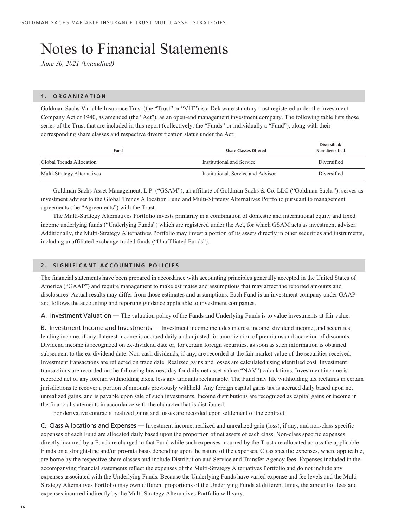# <span id="page-17-0"></span>Notes to Financial Statements

*June 30, 2021 (Unaudited)*

#### **1. ORGANIZATION**

Goldman Sachs Variable Insurance Trust (the "Trust" or "VIT") is a Delaware statutory trust registered under the Investment Company Act of 1940, as amended (the "Act"), as an open-end management investment company. The following table lists those series of the Trust that are included in this report (collectively, the "Funds" or individually a "Fund"), along with their corresponding share classes and respective diversification status under the Act:

| Fund                        | <b>Share Classes Offered</b>       | Diversified/<br>Non-diversified |
|-----------------------------|------------------------------------|---------------------------------|
| Global Trends Allocation    | Institutional and Service          | Diversified                     |
| Multi-Strategy Alternatives | Institutional, Service and Advisor | Diversified                     |

Goldman Sachs Asset Management, L.P. ("GSAM"), an affiliate of Goldman Sachs & Co. LLC ("Goldman Sachs"), serves as investment adviser to the Global Trends Allocation Fund and Multi-Strategy Alternatives Portfolio pursuant to management agreements (the "Agreements") with the Trust.

The Multi-Strategy Alternatives Portfolio invests primarily in a combination of domestic and international equity and fixed income underlying funds ("Underlying Funds") which are registered under the Act, for which GSAM acts as investment adviser. Additionally, the Multi-Strategy Alternatives Portfolio may invest a portion of its assets directly in other securities and instruments, including unaffiliated exchange traded funds ("Unaffiliated Funds").

### **2. SIGNIFICANT ACCOUNTING POLICIES**

The financial statements have been prepared in accordance with accounting principles generally accepted in the United States of America ("GAAP") and require management to make estimates and assumptions that may affect the reported amounts and disclosures. Actual results may differ from those estimates and assumptions. Each Fund is an investment company under GAAP and follows the accounting and reporting guidance applicable to investment companies.

A. Investment Valuation — The valuation policy of the Funds and Underlying Funds is to value investments at fair value.

B. Investment Income and Investments — Investment income includes interest income, dividend income, and securities lending income, if any. Interest income is accrued daily and adjusted for amortization of premiums and accretion of discounts. Dividend income is recognized on ex-dividend date or, for certain foreign securities, as soon as such information is obtained subsequent to the ex-dividend date. Non-cash dividends, if any, are recorded at the fair market value of the securities received. Investment transactions are reflected on trade date. Realized gains and losses are calculated using identified cost. Investment transactions are recorded on the following business day for daily net asset value ("NAV") calculations. Investment income is recorded net of any foreign withholding taxes, less any amounts reclaimable. The Fund may file withholding tax reclaims in certain jurisdictions to recover a portion of amounts previously withheld. Any foreign capital gains tax is accrued daily based upon net unrealized gains, and is payable upon sale of such investments. Income distributions are recognized as capital gains or income in the financial statements in accordance with the character that is distributed.

For derivative contracts, realized gains and losses are recorded upon settlement of the contract.

C. Class Allocations and Expenses — Investment income, realized and unrealized gain (loss), if any, and non-class specific expenses of each Fund are allocated daily based upon the proportion of net assets of each class. Non-class specific expenses directly incurred by a Fund are charged to that Fund while such expenses incurred by the Trust are allocated across the applicable Funds on a straight-line and/or pro-rata basis depending upon the nature of the expenses. Class specific expenses, where applicable, are borne by the respective share classes and include Distribution and Service and Transfer Agency fees. Expenses included in the accompanying financial statements reflect the expenses of the Multi-Strategy Alternatives Portfolio and do not include any expenses associated with the Underlying Funds. Because the Underlying Funds have varied expense and fee levels and the Multi-Strategy Alternatives Portfolio may own different proportions of the Underlying Funds at different times, the amount of fees and expenses incurred indirectly by the Multi-Strategy Alternatives Portfolio will vary.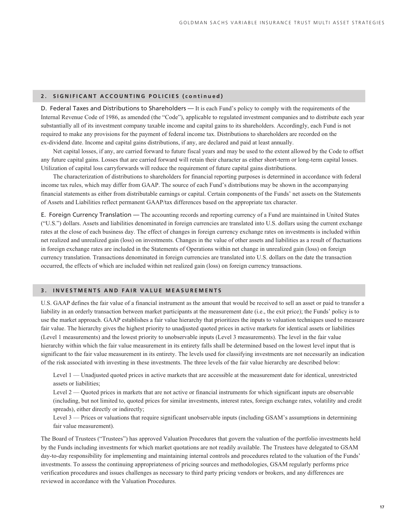### **2. SIGNIFICANT ACCOUNTING POLICIES (continued)**

D. Federal Taxes and Distributions to Shareholders — It is each Fund's policy to comply with the requirements of the Internal Revenue Code of 1986, as amended (the "Code"), applicable to regulated investment companies and to distribute each year substantially all of its investment company taxable income and capital gains to its shareholders. Accordingly, each Fund is not required to make any provisions for the payment of federal income tax. Distributions to shareholders are recorded on the ex-dividend date. Income and capital gains distributions, if any, are declared and paid at least annually.

Net capital losses, if any, are carried forward to future fiscal years and may be used to the extent allowed by the Code to offset any future capital gains. Losses that are carried forward will retain their character as either short-term or long-term capital losses. Utilization of capital loss carryforwards will reduce the requirement of future capital gains distributions.

The characterization of distributions to shareholders for financial reporting purposes is determined in accordance with federal income tax rules, which may differ from GAAP. The source of each Fund's distributions may be shown in the accompanying financial statements as either from distributable earnings or capital. Certain components of the Funds' net assets on the Statements of Assets and Liabilities reflect permanent GAAP/tax differences based on the appropriate tax character.

E. Foreign Currency Translation — The accounting records and reporting currency of a Fund are maintained in United States ("U.S.") dollars. Assets and liabilities denominated in foreign currencies are translated into U.S. dollars using the current exchange rates at the close of each business day. The effect of changes in foreign currency exchange rates on investments is included within net realized and unrealized gain (loss) on investments. Changes in the value of other assets and liabilities as a result of fluctuations in foreign exchange rates are included in the Statements of Operations within net change in unrealized gain (loss) on foreign currency translation. Transactions denominated in foreign currencies are translated into U.S. dollars on the date the transaction occurred, the effects of which are included within net realized gain (loss) on foreign currency transactions.

### **3. INVESTMENTS AND FAIR VALUE MEASUREMENTS**

U.S. GAAP defines the fair value of a financial instrument as the amount that would be received to sell an asset or paid to transfer a liability in an orderly transaction between market participants at the measurement date (i.e., the exit price); the Funds' policy is to use the market approach. GAAP establishes a fair value hierarchy that prioritizes the inputs to valuation techniques used to measure fair value. The hierarchy gives the highest priority to unadjusted quoted prices in active markets for identical assets or liabilities (Level 1 measurements) and the lowest priority to unobservable inputs (Level 3 measurements). The level in the fair value hierarchy within which the fair value measurement in its entirety falls shall be determined based on the lowest level input that is significant to the fair value measurement in its entirety. The levels used for classifying investments are not necessarily an indication of the risk associated with investing in these investments. The three levels of the fair value hierarchy are described below:

Level 1 — Unadjusted quoted prices in active markets that are accessible at the measurement date for identical, unrestricted assets or liabilities;

Level 2 — Quoted prices in markets that are not active or financial instruments for which significant inputs are observable (including, but not limited to, quoted prices for similar investments, interest rates, foreign exchange rates, volatility and credit spreads), either directly or indirectly;

Level 3 — Prices or valuations that require significant unobservable inputs (including GSAM's assumptions in determining fair value measurement).

The Board of Trustees ("Trustees") has approved Valuation Procedures that govern the valuation of the portfolio investments held by the Funds including investments for which market quotations are not readily available. The Trustees have delegated to GSAM day-to-day responsibility for implementing and maintaining internal controls and procedures related to the valuation of the Funds' investments. To assess the continuing appropriateness of pricing sources and methodologies, GSAM regularly performs price verification procedures and issues challenges as necessary to third party pricing vendors or brokers, and any differences are reviewed in accordance with the Valuation Procedures.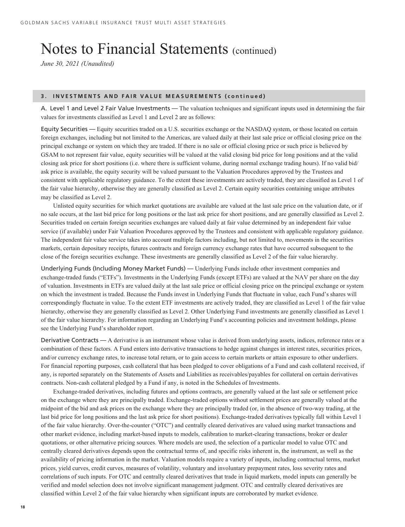### Notes to Financial Statements (continued)

*June 30, 2021 (Unaudited)*

#### **3. INVESTMENTS AND FAIR VALUE MEASUREMENTS (continued)**

A. Level 1 and Level 2 Fair Value Investments — The valuation techniques and significant inputs used in determining the fair values for investments classified as Level 1 and Level 2 are as follows:

Equity Securities — Equity securities traded on a U.S. securities exchange or the NASDAQ system, or those located on certain foreign exchanges, including but not limited to the Americas, are valued daily at their last sale price or official closing price on the principal exchange or system on which they are traded. If there is no sale or official closing price or such price is believed by GSAM to not represent fair value, equity securities will be valued at the valid closing bid price for long positions and at the valid closing ask price for short positions (i.e. where there is sufficient volume, during normal exchange trading hours). If no valid bid/ ask price is available, the equity security will be valued pursuant to the Valuation Procedures approved by the Trustees and consistent with applicable regulatory guidance. To the extent these investments are actively traded, they are classified as Level 1 of the fair value hierarchy, otherwise they are generally classified as Level 2. Certain equity securities containing unique attributes may be classified as Level 2.

Unlisted equity securities for which market quotations are available are valued at the last sale price on the valuation date, or if no sale occurs, at the last bid price for long positions or the last ask price for short positions, and are generally classified as Level 2. Securities traded on certain foreign securities exchanges are valued daily at fair value determined by an independent fair value service (if available) under Fair Valuation Procedures approved by the Trustees and consistent with applicable regulatory guidance. The independent fair value service takes into account multiple factors including, but not limited to, movements in the securities markets, certain depositary receipts, futures contracts and foreign currency exchange rates that have occurred subsequent to the close of the foreign securities exchange. These investments are generally classified as Level 2 of the fair value hierarchy.

Underlying Funds (Including Money Market Funds) — Underlying Funds include other investment companies and exchange-traded funds ("ETFs"). Investments in the Underlying Funds (except ETFs) are valued at the NAV per share on the day of valuation. Investments in ETFs are valued daily at the last sale price or official closing price on the principal exchange or system on which the investment is traded. Because the Funds invest in Underlying Funds that fluctuate in value, each Fund's shares will correspondingly fluctuate in value. To the extent ETF investments are actively traded, they are classified as Level 1 of the fair value hierarchy, otherwise they are generally classified as Level 2. Other Underlying Fund investments are generally classified as Level 1 of the fair value hierarchy. For information regarding an Underlying Fund's accounting policies and investment holdings, please see the Underlying Fund's shareholder report.

Derivative Contracts — A derivative is an instrument whose value is derived from underlying assets, indices, reference rates or a combination of these factors. A Fund enters into derivative transactions to hedge against changes in interest rates, securities prices, and/or currency exchange rates, to increase total return, or to gain access to certain markets or attain exposure to other underliers. For financial reporting purposes, cash collateral that has been pledged to cover obligations of a Fund and cash collateral received, if any, is reported separately on the Statements of Assets and Liabilities as receivables/payables for collateral on certain derivatives contracts. Non-cash collateral pledged by a Fund if any, is noted in the Schedules of Investments.

Exchange-traded derivatives, including futures and options contracts, are generally valued at the last sale or settlement price on the exchange where they are principally traded. Exchange-traded options without settlement prices are generally valued at the midpoint of the bid and ask prices on the exchange where they are principally traded (or, in the absence of two-way trading, at the last bid price for long positions and the last ask price for short positions). Exchange-traded derivatives typically fall within Level 1 of the fair value hierarchy. Over-the-counter ("OTC") and centrally cleared derivatives are valued using market transactions and other market evidence, including market-based inputs to models, calibration to market-clearing transactions, broker or dealer quotations, or other alternative pricing sources. Where models are used, the selection of a particular model to value OTC and centrally cleared derivatives depends upon the contractual terms of, and specific risks inherent in, the instrument, as well as the availability of pricing information in the market. Valuation models require a variety of inputs, including contractual terms, market prices, yield curves, credit curves, measures of volatility, voluntary and involuntary prepayment rates, loss severity rates and correlations of such inputs. For OTC and centrally cleared derivatives that trade in liquid markets, model inputs can generally be verified and model selection does not involve significant management judgment. OTC and centrally cleared derivatives are classified within Level 2 of the fair value hierarchy when significant inputs are corroborated by market evidence.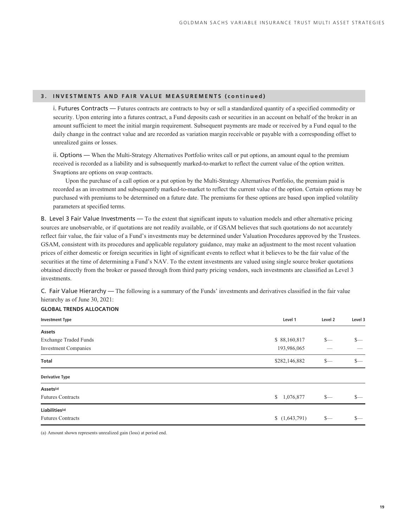### **3. INVESTMENTS AND FAIR VALUE MEASUREMENTS (continued)**

i. Futures Contracts — Futures contracts are contracts to buy or sell a standardized quantity of a specified commodity or security. Upon entering into a futures contract, a Fund deposits cash or securities in an account on behalf of the broker in an amount sufficient to meet the initial margin requirement. Subsequent payments are made or received by a Fund equal to the daily change in the contract value and are recorded as variation margin receivable or payable with a corresponding offset to unrealized gains or losses.

ii. Options — When the Multi-Strategy Alternatives Portfolio writes call or put options, an amount equal to the premium received is recorded as a liability and is subsequently marked-to-market to reflect the current value of the option written. Swaptions are options on swap contracts.

Upon the purchase of a call option or a put option by the Multi-Strategy Alternatives Portfolio, the premium paid is recorded as an investment and subsequently marked-to-market to reflect the current value of the option. Certain options may be purchased with premiums to be determined on a future date. The premiums for these options are based upon implied volatility parameters at specified terms.

B. Level 3 Fair Value Investments — To the extent that significant inputs to valuation models and other alternative pricing sources are unobservable, or if quotations are not readily available, or if GSAM believes that such quotations do not accurately reflect fair value, the fair value of a Fund's investments may be determined under Valuation Procedures approved by the Trustees. GSAM, consistent with its procedures and applicable regulatory guidance, may make an adjustment to the most recent valuation prices of either domestic or foreign securities in light of significant events to reflect what it believes to be the fair value of the securities at the time of determining a Fund's NAV. To the extent investments are valued using single source broker quotations obtained directly from the broker or passed through from third party pricing vendors, such investments are classified as Level 3 investments.

C. Fair Value Hierarchy — The following is a summary of the Funds' investments and derivatives classified in the fair value hierarchy as of June 30, 2021:

### **GLOBAL TRENDS ALLOCATION**

| <b>Investment Type</b>       | Level 1       | Level 2 | Level 3         |
|------------------------------|---------------|---------|-----------------|
| Assets                       |               |         |                 |
| <b>Exchange Traded Funds</b> | \$88,160,817  | $S-$    | $S-$            |
| <b>Investment Companies</b>  | 193,986,065   |         |                 |
| Total                        | \$282,146,882 | $S-$    | $S-$            |
| <b>Derivative Type</b>       |               |         |                 |
| Assets <sup>(a)</sup>        |               |         |                 |
| <b>Futures Contracts</b>     | \$1,076,877   | $s-$    | $\frac{\ }{s-}$ |
| Liabilities <sup>(a)</sup>   |               |         |                 |
| <b>Futures Contracts</b>     | (1,643,791)   | $S-$    | $\frac{\ }{s-}$ |

(a) Amount shown represents unrealized gain (loss) at period end.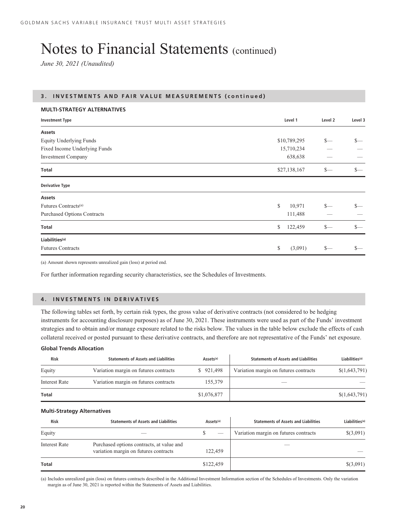# Notes to Financial Statements (continued)

*June 30, 2021 (Unaudited)*

#### **3. INVESTMENTS AND FAIR VALUE MEASUREMENTS (continued)**

### **MULTI-STRATEGY ALTERNATIVES**

| <b>Investment Type</b>             | Level 1       | Level 2 | Level 3 |
|------------------------------------|---------------|---------|---------|
| <b>Assets</b>                      |               |         |         |
| <b>Equity Underlying Funds</b>     | \$10,789,295  | $S-$    | $S-$    |
| Fixed Income Underlying Funds      | 15,710,234    |         |         |
| <b>Investment Company</b>          | 638,638       |         |         |
| <b>Total</b>                       | \$27,138,167  | $S-$    | $S-$    |
| <b>Derivative Type</b>             |               |         |         |
| Assets                             |               |         |         |
| Futures Contracts <sup>(a)</sup>   | \$<br>10,971  | $S-$    | $\sim$  |
| <b>Purchased Options Contracts</b> | 111,488       |         |         |
| <b>Total</b>                       | \$<br>122,459 | $S-$    | $S-$    |
| Liabilities <sup>(a)</sup>         |               |         |         |
| <b>Futures Contracts</b>           | \$<br>(3,091) | $S-$    | $S-$    |
|                                    |               |         |         |

(a) Amount shown represents unrealized gain (loss) at period end.

For further information regarding security characteristics, see the Schedules of Investments.

### **4. INVESTMENTS IN DERIVATIVES**

The following tables set forth, by certain risk types, the gross value of derivative contracts (not considered to be hedging instruments for accounting disclosure purposes) as of June 30, 2021. These instruments were used as part of the Funds' investment strategies and to obtain and/or manage exposure related to the risks below. The values in the table below exclude the effects of cash collateral received or posted pursuant to these derivative contracts, and therefore are not representative of the Funds' net exposure.

### **Global Trends Allocation**

| <b>Risk</b>   | <b>Statements of Assets and Liabilities</b> | Assets <sup>(a)</sup> | <b>Statements of Assets and Liabilities</b> | Liabilities <sup>(a)</sup> |
|---------------|---------------------------------------------|-----------------------|---------------------------------------------|----------------------------|
| Equity        | Variation margin on futures contracts       | \$921,498             | Variation margin on futures contracts       | \$(1,643,791)              |
| Interest Rate | Variation margin on futures contracts       | 155,379               |                                             |                            |
| Total         |                                             | \$1,076,877           |                                             | \$(1,643,791)              |

#### **Multi-Strategy Alternatives**

| <b>Risk</b>          | <b>Statements of Assets and Liabilities</b>                                        | Assets <sup>(a)</sup> | <b>Statements of Assets and Liabilities</b> | Liabilities <sup>(a)</sup> |
|----------------------|------------------------------------------------------------------------------------|-----------------------|---------------------------------------------|----------------------------|
| Equity               |                                                                                    |                       | Variation margin on futures contracts       | \$(3,091)                  |
| <b>Interest Rate</b> | Purchased options contracts, at value and<br>variation margin on futures contracts | 122.459               |                                             |                            |
| Total                |                                                                                    | \$122,459             |                                             | \$(3,091)                  |

(a) Includes unrealized gain (loss) on futures contracts described in the Additional Investment Information section of the Schedules of Investments. Only the variation margin as of June 30, 2021 is reported within the Statements of Assets and Liabilities.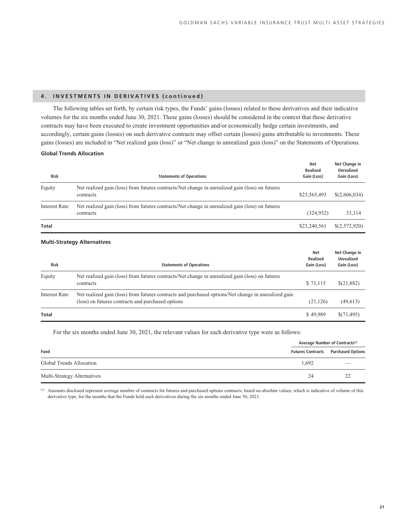### **4. INVESTMENTS IN DERIVATIVES (continued)**

The following tables set forth, by certain risk types, the Funds' gains (losses) related to these derivatives and their indicative volumes for the six months ended June 30, 2021. These gains (losses) should be considered in the context that these derivative contracts may have been executed to create investment opportunities and/or economically hedge certain investments, and accordingly, certain gains (losses) on such derivative contracts may offset certain (losses) gains attributable to investments. These gains (losses) are included in "Net realized gain (loss)" or "Net change in unrealized gain (loss)" on the Statements of Operations.

#### **Global Trends Allocation**

| <b>Risk</b>          | <b>Statements of Operations</b>                                                                              | <b>Net</b><br>Realized<br>Gain (Loss) | Net Change in<br><b>Unrealized</b><br>Gain (Loss) |
|----------------------|--------------------------------------------------------------------------------------------------------------|---------------------------------------|---------------------------------------------------|
| Equity               | Net realized gain (loss) from futures contracts/Net change in unrealized gain (loss) on futures<br>contracts | \$23,565,493                          | \$(2,606,034)                                     |
| <b>Interest Rate</b> | Net realized gain (loss) from futures contracts/Net change in unrealized gain (loss) on futures<br>contracts | (324, 932)                            | 33,114                                            |
| Total                |                                                                                                              | \$23,240,561                          | \$(2,572,920)                                     |

#### **Multi-Strategy Alternatives**

| <b>Risk</b>   | <b>Statements of Operations</b>                                                                                                                          | <b>Net</b><br>Realized<br>Gain (Loss) | Net Change in<br><b>Unrealized</b><br>Gain (Loss) |
|---------------|----------------------------------------------------------------------------------------------------------------------------------------------------------|---------------------------------------|---------------------------------------------------|
| Equity        | Net realized gain (loss) from futures contracts/Net change in unrealized gain (loss) on futures<br>contracts                                             | \$71,115                              | \$(21,882)                                        |
| Interest Rate | Net realized gain (loss) from futures contracts and purchased options/Net change in unrealized gain<br>(loss) on futures contracts and purchased options | (21, 126)                             | (49, 613)                                         |
| Total         |                                                                                                                                                          | \$49,989                              | \$(71,495)                                        |

For the six months ended June 30, 2021, the relevant values for each derivative type were as follows:

|                             | Average Number of Contracts <sup>(1)</sup> |                                            |  |  |
|-----------------------------|--------------------------------------------|--------------------------------------------|--|--|
| Fund                        |                                            | <b>Futures Contracts Purchased Options</b> |  |  |
| Global Trends Allocation    | 1.692                                      | $\overline{\phantom{a}}$                   |  |  |
| Multi-Strategy Alternatives | 24                                         |                                            |  |  |

(1) Amounts disclosed represent average number of contracts for futures and purchased options contracts, based on absolute values, which is indicative of volume of this derivative type, for the months that the Funds held such derivatives during the six months ended June 30, 2021.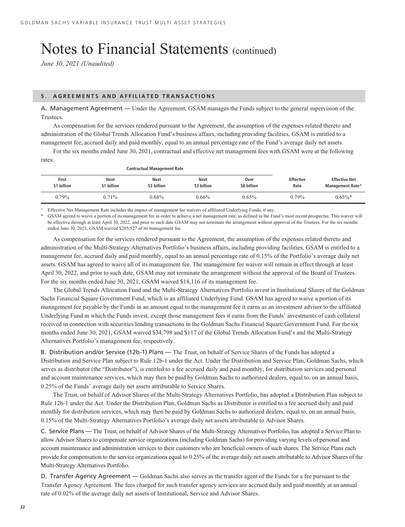# Notes to Financial Statements (continued)

*June 30, 2021 (Unaudited)*

#### **5. AGREEMENTS AND AFFILIATED TRANSACTIONS**

A. Management Agreement — Under the Agreement, GSAM manages the Funds subject to the general supervision of the Trustees.

As compensation for the services rendered pursuant to the Agreement, the assumption of the expenses related thereto and administration of the Global Trends Allocation Fund's business affairs, including providing facilities, GSAM is entitled to a management fee, accrued daily and paid monthly, equal to an annual percentage rate of the Fund's average daily net assets.

For the six months ended June 30, 2021, contractual and effective net management fees with GSAM were at the following

| rates:               |                     |                                    |                     |                     |                          |                                          |
|----------------------|---------------------|------------------------------------|---------------------|---------------------|--------------------------|------------------------------------------|
|                      |                     | <b>Contractual Management Rate</b> |                     |                     |                          |                                          |
| First<br>\$1 billion | Next<br>\$1 billion | <b>Next</b><br>\$3 billion         | Next<br>\$3 billion | Over<br>\$8 billion | <b>Effective</b><br>Rate | <b>Effective Net</b><br>Management Rate^ |
| $0.79\%$             | 0.71%               | $0.68\%$                           | $0.66\%$            | $0.65\%$            | $0.79\%$                 | $0.65\%$ *                               |

^ Effective Net Management Rate includes the impact of management fee waivers of affiliated Underlying Funds, if any.

GSAM agreed to waive a portion of its management fee in order to achieve a net management rate, as defined in the Fund's most recent prospectus. This waiver will be effective through at least April 30, 2022, and prior to such date GSAM may not terminate the arrangement without approval of the Trustees. For the six months ended June 30, 2021, GSAM waived \$205,527 of its management fee.

As compensation for the services rendered pursuant to the Agreement, the assumption of the expenses related thereto and administration of the Multi-Strategy Alternatives Portfolio's business affairs, including providing facilities, GSAM is entitled to a management fee, accrued daily and paid monthly, equal to an annual percentage rate of 0.15% of the Portfolio's average daily net assets. GSAM has agreed to waive all of its management fee. The management fee waiver will remain in effect through at least April 30, 2022, and prior to such date, GSAM may not terminate the arrangement without the approval of the Board of Trustees. For the six months ended June 30, 2021, GSAM waived \$18,116 of its management fee.

The Global Trends Allocation Fund and the Multi-Strategy Alternatives Portfolio invest in Institutional Shares of the Goldman Sachs Financial Square Government Fund, which is an affiliated Underlying Fund. GSAM has agreed to waive a portion of its management fee payable by the Funds in an amount equal to the management fee it earns as an investment adviser to the affiliated Underlying Fund in which the Funds invest, except those management fees it earns from the Funds' investments of cash collateral received in connection with securities lending transactions in the Goldman Sachs Financial Square Government Fund. For the six months ended June 30, 2021, GSAM waived \$34,798 and \$117 of the Global Trends Allocation Fund's and the Multi-Strategy Alternatives Portfolio's management fee, respectively.

B. Distribution and/or Service (12b-1) Plans — The Trust, on behalf of Service Shares of the Funds has adopted a Distribution and Service Plan subject to Rule 12b-1 under the Act. Under the Distribution and Service Plan, Goldman Sachs, which serves as distributor (the "Distributor"), is entitled to a fee accrued daily and paid monthly, for distribution services and personal and account maintenance services, which may then be paid by Goldman Sachs to authorized dealers, equal to, on an annual basis, 0.25% of the Funds' average daily net assets attributable to Service Shares.

The Trust, on behalf of Advisor Shares of the Multi-Strategy Alternatives Portfolio, has adopted a Distribution Plan subject to Rule 12b-1 under the Act. Under the Distribution Plan, Goldman Sachs as Distributor is entitled to a fee accrued daily and paid monthly for distribution services, which may then be paid by Goldman Sachs to authorized dealers, equal to, on an annual basis, 0.15% of the Multi-Strategy Alternatives Portfolio's average daily net assets attributable to Advisor Shares.

C. Service Plans — The Trust, on behalf of Advisor Shares of the Multi-Strategy Alternatives Portfolio, has adopted a Service Plan to allow Advisor Shares to compensate service organizations (including Goldman Sachs) for providing varying levels of personal and account maintenance and administration services to their customers who are beneficial owners of such shares. The Service Plans each provide for compensation to the service organizations equal to 0.25% of the average daily net assets attributable to Advisor Shares of the Multi-Strategy Alternatives Portfolio.

D. Transfer Agency Agreement — Goldman Sachs also serves as the transfer agent of the Funds for a fee pursuant to the Transfer Agency Agreement. The fees charged for such transfer agency services are accrued daily and paid monthly at an annual rate of 0.02% of the average daily net assets of Institutional, Service and Advisor Shares.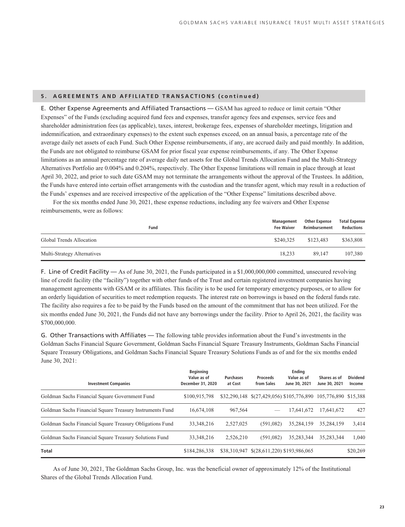#### **5. AGREEMENTS AND AFFILIATED TRANSACTIONS (continued)**

E. Other Expense Agreements and Affiliated Transactions — GSAM has agreed to reduce or limit certain "Other Expenses" of the Funds (excluding acquired fund fees and expenses, transfer agency fees and expenses, service fees and shareholder administration fees (as applicable), taxes, interest, brokerage fees, expenses of shareholder meetings, litigation and indemnification, and extraordinary expenses) to the extent such expenses exceed, on an annual basis, a percentage rate of the average daily net assets of each Fund. Such Other Expense reimbursements, if any, are accrued daily and paid monthly. In addition, the Funds are not obligated to reimburse GSAM for prior fiscal year expense reimbursements, if any. The Other Expense limitations as an annual percentage rate of average daily net assets for the Global Trends Allocation Fund and the Multi-Strategy Alternatives Portfolio are 0.004% and 0.204%, respectively. The Other Expense limitations will remain in place through at least April 30, 2022, and prior to such date GSAM may not terminate the arrangements without the approval of the Trustees. In addition, the Funds have entered into certain offset arrangements with the custodian and the transfer agent, which may result in a reduction of the Funds' expenses and are received irrespective of the application of the "Other Expense" limitations described above.

For the six months ended June 30, 2021, these expense reductions, including any fee waivers and Other Expense reimbursements, were as follows:

|                             | Fund | Management<br><b>Fee Waiver</b> | Other Expense<br>Reimbursement | <b>Total Expense</b><br><b>Reductions</b> |
|-----------------------------|------|---------------------------------|--------------------------------|-------------------------------------------|
| Global Trends Allocation    |      | \$240,325                       | \$123,483                      | \$363,808                                 |
| Multi-Strategy Alternatives |      | 18.233                          | 89,147                         | 107.380                                   |

F. Line of Credit Facility — As of June 30, 2021, the Funds participated in a \$1,000,000,000 committed, unsecured revolving line of credit facility (the "facility") together with other funds of the Trust and certain registered investment companies having management agreements with GSAM or its affiliates. This facility is to be used for temporary emergency purposes, or to allow for an orderly liquidation of securities to meet redemption requests. The interest rate on borrowings is based on the federal funds rate. The facility also requires a fee to be paid by the Funds based on the amount of the commitment that has not been utilized. For the six months ended June 30, 2021, the Funds did not have any borrowings under the facility. Prior to April 26, 2021, the facility was \$700,000,000.

G. Other Transactions with Affiliates — The following table provides information about the Fund's investments in the Goldman Sachs Financial Square Government, Goldman Sachs Financial Square Treasury Instruments, Goldman Sachs Financial Square Treasury Obligations, and Goldman Sachs Financial Square Treasury Solutions Funds as of and for the six months ended June 30, 2021:

| <b>Investment Companies</b>                              | <b>Beginning</b><br>Value as of<br>December 31, 2020 | <b>Purchases</b><br>at Cost | <b>Proceeds</b><br>from Sales             | Ending<br>Value as of<br>June 30, 2021 | Shares as of<br>June 30, 2021 | <b>Dividend</b><br>Income |
|----------------------------------------------------------|------------------------------------------------------|-----------------------------|-------------------------------------------|----------------------------------------|-------------------------------|---------------------------|
| Goldman Sachs Financial Square Government Fund           | \$100,915,798                                        |                             | \$32,290,148 \$(27,429,056) \$105,776,890 |                                        | 105,776,890 \$15,388          |                           |
| Goldman Sachs Financial Square Treasury Instruments Fund | 16,674,108                                           | 967.564                     |                                           | 17.641.672                             | 17,641,672                    | 427                       |
| Goldman Sachs Financial Square Treasury Obligations Fund | 33, 348, 216                                         | 2,527,025                   | (591.082)                                 | 35.284.159                             | 35.284.159                    | 3,414                     |
| Goldman Sachs Financial Square Treasury Solutions Fund   | 33, 348, 216                                         | 2,526,210                   | (591.082)                                 | 35,283,344                             | 35.283.344                    | 1.040                     |
| <b>Total</b>                                             | \$184,286,338                                        | \$38,310,947                | \$(28,611,220) \$193,986,065              |                                        |                               | \$20,269                  |

As of June 30, 2021, The Goldman Sachs Group, Inc. was the beneficial owner of approximately 12% of the Institutional Shares of the Global Trends Allocation Fund.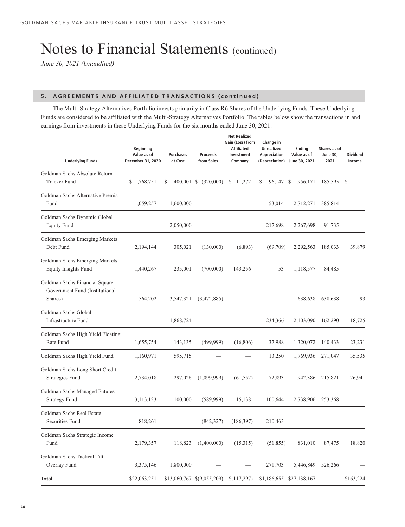# Notes to Financial Statements (continued)

*June 30, 2021 (Unaudited)*

### **5. AGREEMENTS AND AFFILIATED TRANSACTIONS (continued)**

The Multi-Strategy Alternatives Portfolio invests primarily in Class R6 Shares of the Underlying Funds. These Underlying Funds are considered to be affiliated with the Multi-Strategy Alternatives Portfolio. The tables below show the transactions in and earnings from investments in these Underlying Funds for the six months ended June 30, 2021:

| <b>Underlying Funds</b>                                                     | <b>Beginning</b><br>Value as of<br>December 31, 2020 | <b>Purchases</b><br>at Cost | <b>Proceeds</b><br>from Sales | <b>Net Realized</b><br>Gain (Loss) from<br><b>Affiliated</b><br>Investment<br>Company | Change in<br><b>Unrealized</b><br>Appreciation<br>(Depreciation) | Ending<br>Value as of<br>June 30, 2021 | Shares as of<br><b>June 30,</b><br>2021 | <b>Dividend</b><br>Income |
|-----------------------------------------------------------------------------|------------------------------------------------------|-----------------------------|-------------------------------|---------------------------------------------------------------------------------------|------------------------------------------------------------------|----------------------------------------|-----------------------------------------|---------------------------|
| Goldman Sachs Absolute Return                                               |                                                      |                             |                               |                                                                                       |                                                                  |                                        |                                         |                           |
| <b>Tracker Fund</b>                                                         | \$1,768,751                                          | \$                          | 400,001 \$ (320,000)          | \$11,272                                                                              | \$                                                               | 96,147 \$ 1,956,171                    | 185,595                                 | - \$                      |
| Goldman Sachs Alternative Premia<br>Fund                                    | 1,059,257                                            | 1,600,000                   |                               |                                                                                       | 53,014                                                           | 2,712,271                              | 385,814                                 |                           |
| Goldman Sachs Dynamic Global<br><b>Equity Fund</b>                          |                                                      | 2,050,000                   |                               |                                                                                       | 217,698                                                          | 2,267,698                              | 91,735                                  |                           |
| Goldman Sachs Emerging Markets<br>Debt Fund                                 | 2,194,144                                            | 305,021                     | (130,000)                     | (6,893)                                                                               | (69, 709)                                                        | 2,292,563                              | 185,033                                 | 39,879                    |
| Goldman Sachs Emerging Markets<br><b>Equity Insights Fund</b>               | 1,440,267                                            | 235,001                     | (700,000)                     | 143,256                                                                               | 53                                                               | 1,118,577                              | 84,485                                  |                           |
| Goldman Sachs Financial Square<br>Government Fund (Institutional<br>Shares) | 564,202                                              | 3,547,321                   | (3,472,885)                   |                                                                                       |                                                                  | 638,638                                | 638,638                                 | 93                        |
| Goldman Sachs Global<br>Infrastructure Fund                                 |                                                      | 1,868,724                   |                               |                                                                                       | 234,366                                                          | 2,103,090                              | 162,290                                 | 18,725                    |
| Goldman Sachs High Yield Floating<br>Rate Fund                              | 1,655,754                                            | 143,135                     | (499, 999)                    | (16, 806)                                                                             | 37,988                                                           | 1,320,072                              | 140,433                                 | 23,231                    |
| Goldman Sachs High Yield Fund                                               | 1,160,971                                            | 595,715                     |                               |                                                                                       | 13,250                                                           | 1,769,936                              | 271,047                                 | 35,535                    |
| Goldman Sachs Long Short Credit<br><b>Strategies Fund</b>                   | 2,734,018                                            | 297,026                     | (1,099,999)                   | (61, 552)                                                                             | 72,893                                                           | 1,942,386                              | 215,821                                 | 26,941                    |
| Goldman Sachs Managed Futures<br><b>Strategy Fund</b>                       | 3,113,123                                            | 100,000                     | (589, 999)                    | 15,138                                                                                | 100,644                                                          | 2,738,906                              | 253,368                                 |                           |
| Goldman Sachs Real Estate<br>Securities Fund                                | 818,261                                              |                             | (842, 327)                    | (186, 397)                                                                            | 210,463                                                          |                                        |                                         |                           |
| Goldman Sachs Strategic Income<br>Fund                                      | 2,179,357                                            | 118,823                     | (1,400,000)                   | (15,315)                                                                              | (51, 855)                                                        | 831,010                                | 87,475                                  | 18,820                    |
| Goldman Sachs Tactical Tilt<br>Overlay Fund                                 | 3,375,146                                            | 1,800,000                   |                               |                                                                                       | 271,703                                                          | 5,446,849                              | 526,266                                 |                           |
| <b>Total</b>                                                                | \$22,063,251                                         |                             | \$13,060,767 \$(9,055,209)    | \$(117,297)                                                                           |                                                                  | \$1,186,655 \$27,138,167               |                                         | \$163,224                 |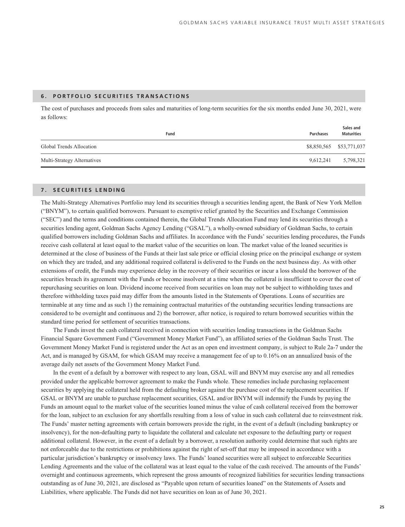### **6. PORTFOLIO SECURITIES TRANSACTIONS**

The cost of purchases and proceeds from sales and maturities of long-term securities for the six months ended June 30, 2021, were as follows:

| Fund                        | Purchases | Sales and<br><b>Maturities</b> |
|-----------------------------|-----------|--------------------------------|
| Global Trends Allocation    |           | \$8,850,565 \$53,771,037       |
| Multi-Strategy Alternatives | 9.612.241 | 5,798,321                      |

### **7. SECURITIES LENDING**

The Multi-Strategy Alternatives Portfolio may lend its securities through a securities lending agent, the Bank of New York Mellon ("BNYM"), to certain qualified borrowers. Pursuant to exemptive relief granted by the Securities and Exchange Commission ("SEC") and the terms and conditions contained therein, the Global Trends Allocation Fund may lend its securities through a securities lending agent, Goldman Sachs Agency Lending ("GSAL"), a wholly-owned subsidiary of Goldman Sachs, to certain qualified borrowers including Goldman Sachs and affiliates. In accordance with the Funds' securities lending procedures, the Funds receive cash collateral at least equal to the market value of the securities on loan. The market value of the loaned securities is determined at the close of business of the Funds at their last sale price or official closing price on the principal exchange or system on which they are traded, and any additional required collateral is delivered to the Funds on the next business day. As with other extensions of credit, the Funds may experience delay in the recovery of their securities or incur a loss should the borrower of the securities breach its agreement with the Funds or become insolvent at a time when the collateral is insufficient to cover the cost of repurchasing securities on loan. Dividend income received from securities on loan may not be subject to withholding taxes and therefore withholding taxes paid may differ from the amounts listed in the Statements of Operations. Loans of securities are terminable at any time and as such 1) the remaining contractual maturities of the outstanding securities lending transactions are considered to be overnight and continuous and 2) the borrower, after notice, is required to return borrowed securities within the standard time period for settlement of securities transactions.

The Funds invest the cash collateral received in connection with securities lending transactions in the Goldman Sachs Financial Square Government Fund ("Government Money Market Fund"), an affiliated series of the Goldman Sachs Trust. The Government Money Market Fund is registered under the Act as an open end investment company, is subject to Rule 2a-7 under the Act, and is managed by GSAM, for which GSAM may receive a management fee of up to 0.16% on an annualized basis of the average daily net assets of the Government Money Market Fund.

In the event of a default by a borrower with respect to any loan, GSAL will and BNYM may exercise any and all remedies provided under the applicable borrower agreement to make the Funds whole. These remedies include purchasing replacement securities by applying the collateral held from the defaulting broker against the purchase cost of the replacement securities. If GSAL or BNYM are unable to purchase replacement securities, GSAL and/or BNYM will indemnify the Funds by paying the Funds an amount equal to the market value of the securities loaned minus the value of cash collateral received from the borrower for the loan, subject to an exclusion for any shortfalls resulting from a loss of value in such cash collateral due to reinvestment risk. The Funds' master netting agreements with certain borrowers provide the right, in the event of a default (including bankruptcy or insolvency), for the non-defaulting party to liquidate the collateral and calculate net exposure to the defaulting party or request additional collateral. However, in the event of a default by a borrower, a resolution authority could determine that such rights are not enforceable due to the restrictions or prohibitions against the right of set-off that may be imposed in accordance with a particular jurisdiction's bankruptcy or insolvency laws. The Funds' loaned securities were all subject to enforceable Securities Lending Agreements and the value of the collateral was at least equal to the value of the cash received. The amounts of the Funds' overnight and continuous agreements, which represent the gross amounts of recognized liabilities for securities lending transactions outstanding as of June 30, 2021, are disclosed as "Payable upon return of securities loaned" on the Statements of Assets and Liabilities, where applicable. The Funds did not have securities on loan as of June 30, 2021.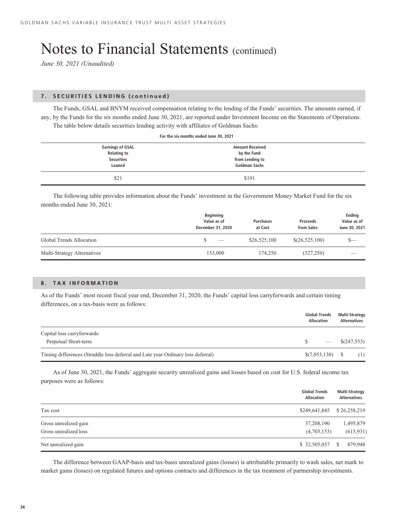## Notes to Financial Statements (continued)

*June 30, 2021 (Unaudited)*

### **7. SECURITIES LENDING (continued)**

The Funds, GSAL and BNYM received compensation relating to the lending of the Funds' securities. The amounts earned, if any, by the Funds for the six months ended June 30, 2021, are reported under Investment Income on the Statements of Operations. The table below details securities lending activity with affiliates of Goldman Sachs:

| For the six months ended June 30, 2021                                       |                                                                                  |  |  |  |
|------------------------------------------------------------------------------|----------------------------------------------------------------------------------|--|--|--|
| <b>Earnings of GSAL</b><br><b>Relating to</b><br><b>Securities</b><br>Loaned | <b>Amount Received</b><br>by the Fund<br>from Lending to<br><b>Goldman Sachs</b> |  |  |  |
| \$21                                                                         | \$191                                                                            |  |  |  |

The following table provides information about the Funds' investment in the Government Money Market Fund for the six months ended June 30, 2021:

|                             | <b>Beginning</b><br>Value as of<br>December 31, 2020 | <b>Purchases</b><br>at Cost | <b>Proceeds</b><br>from Sales | Ending<br>Value as of<br>June 30, 2021 |
|-----------------------------|------------------------------------------------------|-----------------------------|-------------------------------|----------------------------------------|
| Global Trends Allocation    | $\overbrace{\hspace{25mm}}^{}$                       | \$26,525,100                | \$(26,525,100)                | s—                                     |
| Multi-Strategy Alternatives | 153,000                                              | 174,250                     | (327, 250)                    | $\overline{\phantom{a}}$               |

#### **8. TAX INFORMATION**

As of the Funds' most recent fiscal year end, December 31, 2020, the Funds' capital loss carryforwards and certain timing differences, on a tax-basis were as follows:

|                                                                                  | <b>Global Trends</b><br><b>Allocation</b> | <b>Multi-Strategy</b><br><b>Alternatives</b> |
|----------------------------------------------------------------------------------|-------------------------------------------|----------------------------------------------|
| Capital loss carryforwards:                                                      |                                           |                                              |
| Perpetual Short-term                                                             |                                           | \$(247,553)                                  |
| Timing differences (Straddle loss deferral and Late year Ordinary loss deferral) |                                           | (1)                                          |

As of June 30, 2021, the Funds' aggregate security unrealized gains and losses based on cost for U.S. federal income tax purposes were as follows:

|                       | <b>Global Trends</b><br><b>Allocation</b> | Multi-Strategy<br><b>Alternatives</b> |
|-----------------------|-------------------------------------------|---------------------------------------|
| Tax cost              | \$249,641,845 \$26,258,219                |                                       |
| Gross unrealized gain | 37,208,190                                | 1,495,879                             |
| Gross unrealized loss | (4,703,153)                               | (615, 931)                            |
| Net unrealized gain   |                                           | 879.948                               |

The difference between GAAP-basis and tax-basis unrealized gains (losses) is attributable primarily to wash sales, net mark to market gains (losses) on regulated futures and options contracts and differences in the tax treatment of partnership investments.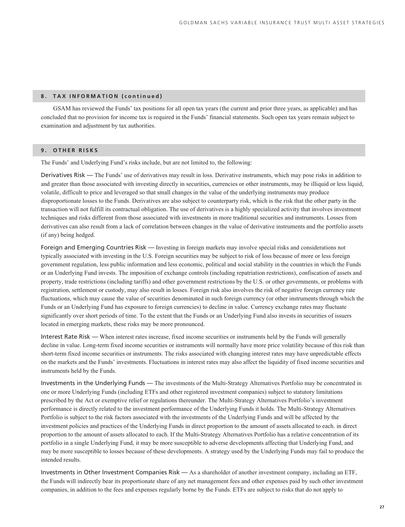### **8. TAX INFORMATION (continued)**

GSAM has reviewed the Funds' tax positions for all open tax years (the current and prior three years, as applicable) and has concluded that no provision for income tax is required in the Funds' financial statements. Such open tax years remain subject to examination and adjustment by tax authorities.

### **9. OTHER RISKS**

The Funds' and Underlying Fund's risks include, but are not limited to, the following:

Derivatives Risk — The Funds' use of derivatives may result in loss. Derivative instruments, which may pose risks in addition to and greater than those associated with investing directly in securities, currencies or other instruments, may be illiquid or less liquid, volatile, difficult to price and leveraged so that small changes in the value of the underlying instruments may produce disproportionate losses to the Funds. Derivatives are also subject to counterparty risk, which is the risk that the other party in the transaction will not fulfill its contractual obligation. The use of derivatives is a highly specialized activity that involves investment techniques and risks different from those associated with investments in more traditional securities and instruments. Losses from derivatives can also result from a lack of correlation between changes in the value of derivative instruments and the portfolio assets (if any) being hedged.

Foreign and Emerging Countries Risk — Investing in foreign markets may involve special risks and considerations not typically associated with investing in the U.S. Foreign securities may be subject to risk of loss because of more or less foreign government regulation, less public information and less economic, political and social stability in the countries in which the Funds or an Underlying Fund invests. The imposition of exchange controls (including repatriation restrictions), confiscation of assets and property, trade restrictions (including tariffs) and other government restrictions by the U.S. or other governments, or problems with registration, settlement or custody, may also result in losses. Foreign risk also involves the risk of negative foreign currency rate fluctuations, which may cause the value of securities denominated in such foreign currency (or other instruments through which the Funds or an Underlying Fund has exposure to foreign currencies) to decline in value. Currency exchange rates may fluctuate significantly over short periods of time. To the extent that the Funds or an Underlying Fund also invests in securities of issuers located in emerging markets, these risks may be more pronounced.

Interest Rate Risk — When interest rates increase, fixed income securities or instruments held by the Funds will generally decline in value. Long-term fixed income securities or instruments will normally have more price volatility because of this risk than short-term fixed income securities or instruments. The risks associated with changing interest rates may have unpredictable effects on the markets and the Funds' investments. Fluctuations in interest rates may also affect the liquidity of fixed income securities and instruments held by the Funds.

Investments in the Underlying Funds — The investments of the Multi-Strategy Alternatives Portfolio may be concentrated in one or more Underlying Funds (including ETFs and other registered investment companies) subject to statutory limitations prescribed by the Act or exemptive relief or regulations thereunder. The Multi-Strategy Alternatives Portfolio's investment performance is directly related to the investment performance of the Underlying Funds it holds. The Multi-Strategy Alternatives Portfolio is subject to the risk factors associated with the investments of the Underlying Funds and will be affected by the investment policies and practices of the Underlying Funds in direct proportion to the amount of assets allocated to each. in direct proportion to the amount of assets allocated to each. If the Multi-Strategy Alternatives Portfolio has a relative concentration of its portfolio in a single Underlying Fund, it may be more susceptible to adverse developments affecting that Underlying Fund, and may be more susceptible to losses because of these developments. A strategy used by the Underlying Funds may fail to produce the intended results.

Investments in Other Investment Companies Risk  $-$  As a shareholder of another investment company, including an ETF, the Funds will indirectly bear its proportionate share of any net management fees and other expenses paid by such other investment companies, in addition to the fees and expenses regularly borne by the Funds. ETFs are subject to risks that do not apply to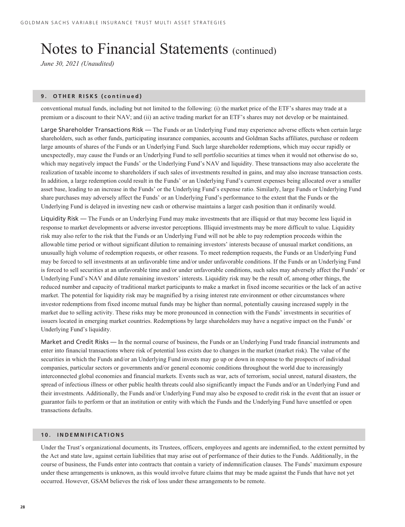## Notes to Financial Statements (continued)

*June 30, 2021 (Unaudited)*

#### **9. OTHER RISKS (continued)**

conventional mutual funds, including but not limited to the following: (i) the market price of the ETF's shares may trade at a premium or a discount to their NAV; and (ii) an active trading market for an ETF's shares may not develop or be maintained.

Large Shareholder Transactions Risk — The Funds or an Underlying Fund may experience adverse effects when certain large shareholders, such as other funds, participating insurance companies, accounts and Goldman Sachs affiliates, purchase or redeem large amounts of shares of the Funds or an Underlying Fund. Such large shareholder redemptions, which may occur rapidly or unexpectedly, may cause the Funds or an Underlying Fund to sell portfolio securities at times when it would not otherwise do so, which may negatively impact the Funds' or the Underlying Fund's NAV and liquidity. These transactions may also accelerate the realization of taxable income to shareholders if such sales of investments resulted in gains, and may also increase transaction costs. In addition, a large redemption could result in the Funds' or an Underlying Fund's current expenses being allocated over a smaller asset base, leading to an increase in the Funds' or the Underlying Fund's expense ratio. Similarly, large Funds or Underlying Fund share purchases may adversely affect the Funds' or an Underlying Fund's performance to the extent that the Funds or the Underlying Fund is delayed in investing new cash or otherwise maintains a larger cash position than it ordinarily would.

Liquidity Risk — The Funds or an Underlying Fund may make investments that are illiquid or that may become less liquid in response to market developments or adverse investor perceptions. Illiquid investments may be more difficult to value. Liquidity risk may also refer to the risk that the Funds or an Underlying Fund will not be able to pay redemption proceeds within the allowable time period or without significant dilution to remaining investors' interests because of unusual market conditions, an unusually high volume of redemption requests, or other reasons. To meet redemption requests, the Funds or an Underlying Fund may be forced to sell investments at an unfavorable time and/or under unfavorable conditions. If the Funds or an Underlying Fund is forced to sell securities at an unfavorable time and/or under unfavorable conditions, such sales may adversely affect the Funds' or Underlying Fund's NAV and dilute remaining investors' interests. Liquidity risk may be the result of, among other things, the reduced number and capacity of traditional market participants to make a market in fixed income securities or the lack of an active market. The potential for liquidity risk may be magnified by a rising interest rate environment or other circumstances where investor redemptions from fixed income mutual funds may be higher than normal, potentially causing increased supply in the market due to selling activity. These risks may be more pronounced in connection with the Funds' investments in securities of issuers located in emerging market countries. Redemptions by large shareholders may have a negative impact on the Funds' or Underlying Fund's liquidity.

Market and Credit Risks — In the normal course of business, the Funds or an Underlying Fund trade financial instruments and enter into financial transactions where risk of potential loss exists due to changes in the market (market risk). The value of the securities in which the Funds and/or an Underlying Fund invests may go up or down in response to the prospects of individual companies, particular sectors or governments and/or general economic conditions throughout the world due to increasingly interconnected global economies and financial markets. Events such as war, acts of terrorism, social unrest, natural disasters, the spread of infectious illness or other public health threats could also significantly impact the Funds and/or an Underlying Fund and their investments. Additionally, the Funds and/or Underlying Fund may also be exposed to credit risk in the event that an issuer or guarantor fails to perform or that an institution or entity with which the Funds and the Underlying Fund have unsettled or open transactions defaults.

### **10. INDEMNIFICATIONS**

Under the Trust's organizational documents, its Trustees, officers, employees and agents are indemnified, to the extent permitted by the Act and state law, against certain liabilities that may arise out of performance of their duties to the Funds. Additionally, in the course of business, the Funds enter into contracts that contain a variety of indemnification clauses. The Funds' maximum exposure under these arrangements is unknown, as this would involve future claims that may be made against the Funds that have not yet occurred. However, GSAM believes the risk of loss under these arrangements to be remote.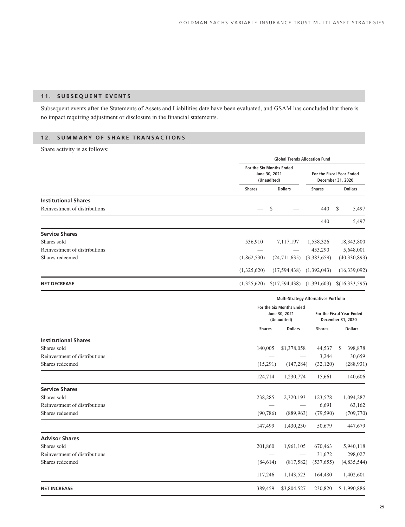### **11. SUBSEQUENT EVENTS**

Subsequent events after the Statements of Assets and Liabilities date have been evaluated, and GSAM has concluded that there is no impact requiring adjustment or disclosure in the financial statements.

### **12. SUMMARY OF SHARE TRANSACTIONS**

Share activity is as follows:

|                               |               | <b>Global Trends Allocation Fund</b>                     |               |                                                |  |  |
|-------------------------------|---------------|----------------------------------------------------------|---------------|------------------------------------------------|--|--|
|                               |               | For the Six Months Ended<br>June 30, 2021<br>(Unaudited) |               | For the Fiscal Year Ended<br>December 31, 2020 |  |  |
|                               | <b>Shares</b> | <b>Dollars</b>                                           | <b>Shares</b> | <b>Dollars</b>                                 |  |  |
| <b>Institutional Shares</b>   |               |                                                          |               |                                                |  |  |
| Reinvestment of distributions |               | -S                                                       | 440 \$        | 5,497                                          |  |  |
|                               |               |                                                          | 440           | 5,497                                          |  |  |
| <b>Service Shares</b>         |               |                                                          |               |                                                |  |  |
| Shares sold                   | 536,910       | 7,117,197                                                | 1,538,326     | 18,343,800                                     |  |  |
| Reinvestment of distributions |               |                                                          | 453,290       | 5,648,001                                      |  |  |
| Shares redeemed               | (1,862,530)   | (24,711,635)                                             | (3,383,659)   | (40, 330, 893)                                 |  |  |
|                               | (1,325,620)   | (17,594,438)                                             | (1,392,043)   | (16,339,092)                                   |  |  |
| <b>NET DECREASE</b>           | (1,325,620)   | \$(17,594,438)                                           | (1,391,603)   | \$(16,333,595)                                 |  |  |

|                               |               | <b>Multi-Strategy Alternatives Portfolio</b>             |               |                                                |  |
|-------------------------------|---------------|----------------------------------------------------------|---------------|------------------------------------------------|--|
|                               |               | For the Six Months Ended<br>June 30, 2021<br>(Unaudited) |               | For the Fiscal Year Ended<br>December 31, 2020 |  |
|                               | <b>Shares</b> | <b>Dollars</b>                                           | <b>Shares</b> | <b>Dollars</b>                                 |  |
| <b>Institutional Shares</b>   |               |                                                          |               |                                                |  |
| Shares sold                   | 140,005       | \$1,378,058                                              | 44,537        | 398,878<br>S                                   |  |
| Reinvestment of distributions |               |                                                          | 3,244         | 30,659                                         |  |
| Shares redeemed               | (15,291)      | (147, 284)                                               | (32, 120)     | (288, 931)                                     |  |
|                               | 124,714       | 1,230,774                                                | 15,661        | 140,606                                        |  |
| <b>Service Shares</b>         |               |                                                          |               |                                                |  |
| Shares sold                   | 238,285       | 2,320,193                                                | 123,578       | 1,094,287                                      |  |
| Reinvestment of distributions |               |                                                          | 6,691         | 63,162                                         |  |
| Shares redeemed               | (90, 786)     | (889,963)                                                | (79, 590)     | (709, 770)                                     |  |
|                               | 147,499       | 1,430,230                                                | 50,679        | 447,679                                        |  |
| <b>Advisor Shares</b>         |               |                                                          |               |                                                |  |
| Shares sold                   | 201,860       | 1,961,105                                                | 670,463       | 5,940,118                                      |  |
| Reinvestment of distributions |               |                                                          | 31,672        | 298,027                                        |  |
| Shares redeemed               | (84, 614)     | (817,582)                                                | (537, 655)    | (4,835,544)                                    |  |
|                               | 117,246       | 1,143,523                                                | 164,480       | 1,402,601                                      |  |
| <b>NET INCREASE</b>           | 389,459       | \$3,804,527                                              | 230,820       | \$1,990,886                                    |  |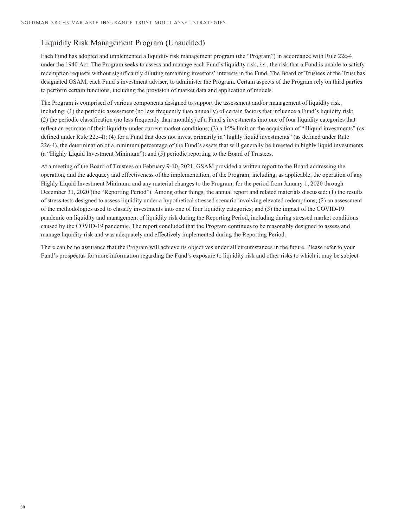### Liquidity Risk Management Program (Unaudited)

Each Fund has adopted and implemented a liquidity risk management program (the "Program") in accordance with Rule 22e-4 under the 1940 Act. The Program seeks to assess and manage each Fund's liquidity risk, *i.e.*, the risk that a Fund is unable to satisfy redemption requests without significantly diluting remaining investors' interests in the Fund. The Board of Trustees of the Trust has designated GSAM, each Fund's investment adviser, to administer the Program. Certain aspects of the Program rely on third parties to perform certain functions, including the provision of market data and application of models.

The Program is comprised of various components designed to support the assessment and/or management of liquidity risk, including: (1) the periodic assessment (no less frequently than annually) of certain factors that influence a Fund's liquidity risk; (2) the periodic classification (no less frequently than monthly) of a Fund's investments into one of four liquidity categories that reflect an estimate of their liquidity under current market conditions; (3) a 15% limit on the acquisition of "illiquid investments" (as defined under Rule 22e-4); (4) for a Fund that does not invest primarily in "highly liquid investments" (as defined under Rule 22e-4), the determination of a minimum percentage of the Fund's assets that will generally be invested in highly liquid investments (a "Highly Liquid Investment Minimum"); and (5) periodic reporting to the Board of Trustees.

At a meeting of the Board of Trustees on February 9-10, 2021, GSAM provided a written report to the Board addressing the operation, and the adequacy and effectiveness of the implementation, of the Program, including, as applicable, the operation of any Highly Liquid Investment Minimum and any material changes to the Program, for the period from January 1, 2020 through December 31, 2020 (the "Reporting Period"). Among other things, the annual report and related materials discussed: (1) the results of stress tests designed to assess liquidity under a hypothetical stressed scenario involving elevated redemptions; (2) an assessment of the methodologies used to classify investments into one of four liquidity categories; and (3) the impact of the COVID-19 pandemic on liquidity and management of liquidity risk during the Reporting Period, including during stressed market conditions caused by the COVID-19 pandemic. The report concluded that the Program continues to be reasonably designed to assess and manage liquidity risk and was adequately and effectively implemented during the Reporting Period.

There can be no assurance that the Program will achieve its objectives under all circumstances in the future. Please refer to your Fund's prospectus for more information regarding the Fund's exposure to liquidity risk and other risks to which it may be subject.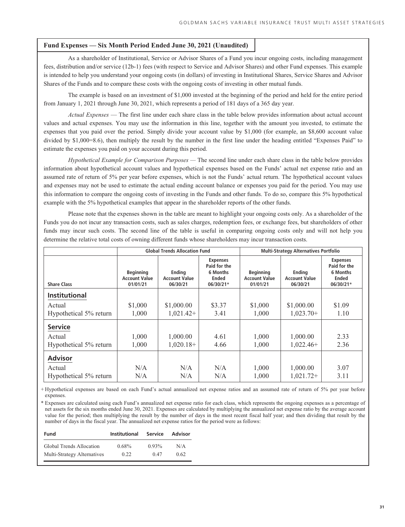### <span id="page-32-0"></span>**Fund Expenses — Six Month Period Ended June 30, 2021 (Unaudited)**

As a shareholder of Institutional, Service or Advisor Shares of a Fund you incur ongoing costs, including management fees, distribution and/or service (12b-1) fees (with respect to Service and Advisor Shares) and other Fund expenses. This example is intended to help you understand your ongoing costs (in dollars) of investing in Institutional Shares, Service Shares and Advisor Shares of the Funds and to compare these costs with the ongoing costs of investing in other mutual funds.

The example is based on an investment of \$1,000 invested at the beginning of the period and held for the entire period from January 1, 2021 through June 30, 2021, which represents a period of 181 days of a 365 day year.

*Actual Expenses* — The first line under each share class in the table below provides information about actual account values and actual expenses. You may use the information in this line, together with the amount you invested, to estimate the expenses that you paid over the period. Simply divide your account value by \$1,000 (for example, an \$8,600 account value divided by \$1,000=8.6), then multiply the result by the number in the first line under the heading entitled "Expenses Paid" to estimate the expenses you paid on your account during this period.

*Hypothetical Example for Comparison Purposes —* The second line under each share class in the table below provides information about hypothetical account values and hypothetical expenses based on the Funds' actual net expense ratio and an assumed rate of return of 5% per year before expenses, which is not the Funds' actual return. The hypothetical account values and expenses may not be used to estimate the actual ending account balance or expenses you paid for the period. You may use this information to compare the ongoing costs of investing in the Funds and other funds. To do so, compare this 5% hypothetical example with the 5% hypothetical examples that appear in the shareholder reports of the other funds.

Please note that the expenses shown in the table are meant to highlight your ongoing costs only. As a shareholder of the Funds you do not incur any transaction costs, such as sales charges, redemption fees, or exchange fees, but shareholders of other funds may incur such costs. The second line of the table is useful in comparing ongoing costs only and will not help you determine the relative total costs of owning different funds whose shareholders may incur transaction costs.

|                        | <b>Global Trends Allocation Fund</b>                 |                                            |                                                                          | <b>Multi-Strategy Alternatives Portfolio</b>         |                                            |                                                                          |
|------------------------|------------------------------------------------------|--------------------------------------------|--------------------------------------------------------------------------|------------------------------------------------------|--------------------------------------------|--------------------------------------------------------------------------|
| <b>Share Class</b>     | <b>Beginning</b><br><b>Account Value</b><br>01/01/21 | Ending<br><b>Account Value</b><br>06/30/21 | <b>Expenses</b><br>Paid for the<br>6 Months<br><b>Ended</b><br>06/30/21* | <b>Beginning</b><br><b>Account Value</b><br>01/01/21 | Ending<br><b>Account Value</b><br>06/30/21 | <b>Expenses</b><br>Paid for the<br>6 Months<br><b>Ended</b><br>06/30/21* |
| <b>Institutional</b>   |                                                      |                                            |                                                                          |                                                      |                                            |                                                                          |
| Actual                 | \$1,000                                              | \$1,000.00                                 | \$3.37                                                                   | \$1,000                                              | \$1,000.00                                 | \$1.09                                                                   |
| Hypothetical 5% return | 1.000                                                | $1,021.42+$                                | 3.41                                                                     | 1,000                                                | $1,023.70+$                                | 1.10                                                                     |
| <b>Service</b>         |                                                      |                                            |                                                                          |                                                      |                                            |                                                                          |
| Actual                 | 1.000                                                | 1,000.00                                   | 4.61                                                                     | 1,000                                                | 1,000.00                                   | 2.33                                                                     |
| Hypothetical 5% return | 1,000                                                | $1,020.18+$                                | 4.66                                                                     | 1,000                                                | $1,022.46+$                                | 2.36                                                                     |
| <b>Advisor</b>         |                                                      |                                            |                                                                          |                                                      |                                            |                                                                          |
| Actual                 | N/A                                                  | N/A                                        | N/A                                                                      | 1,000                                                | 1,000.00                                   | 3.07                                                                     |
| Hypothetical 5% return | N/A                                                  | N/A                                        | N/A                                                                      | 1,000                                                | $1,021.72+$                                | 3.11                                                                     |

+ Hypothetical expenses are based on each Fund's actual annualized net expense ratios and an assumed rate of return of 5% per year before expenses.

\* Expenses are calculated using each Fund's annualized net expense ratio for each class, which represents the ongoing expenses as a percentage of net assets for the six months ended June 30, 2021. Expenses are calculated by multiplying the annualized net expense ratio by the average account value for the period; then multiplying the result by the number of days in the most recent fiscal half year; and then dividing that result by the number of days in the fiscal year. The annualized net expense ratios for the period were as follows:

| Fund                        | <b>Institutional</b> | Service  | Advisor |
|-----------------------------|----------------------|----------|---------|
| Global Trends Allocation    | $0.68\%$             | $0.93\%$ | N/A     |
| Multi-Strategy Alternatives | 0.22                 | 0.47     | 0.62    |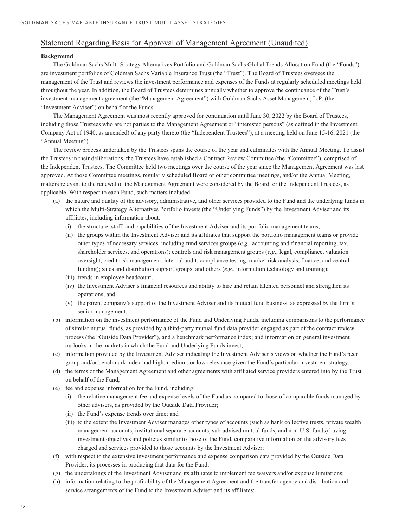### **Background**

The Goldman Sachs Multi-Strategy Alternatives Portfolio and Goldman Sachs Global Trends Allocation Fund (the "Funds") are investment portfolios of Goldman Sachs Variable Insurance Trust (the "Trust"). The Board of Trustees oversees the management of the Trust and reviews the investment performance and expenses of the Funds at regularly scheduled meetings held throughout the year. In addition, the Board of Trustees determines annually whether to approve the continuance of the Trust's investment management agreement (the "Management Agreement") with Goldman Sachs Asset Management, L.P. (the "Investment Adviser") on behalf of the Funds.

The Management Agreement was most recently approved for continuation until June 30, 2022 by the Board of Trustees, including those Trustees who are not parties to the Management Agreement or "interested persons" (as defined in the Investment Company Act of 1940, as amended) of any party thereto (the "Independent Trustees"), at a meeting held on June 15-16, 2021 (the "Annual Meeting").

The review process undertaken by the Trustees spans the course of the year and culminates with the Annual Meeting. To assist the Trustees in their deliberations, the Trustees have established a Contract Review Committee (the "Committee"), comprised of the Independent Trustees. The Committee held two meetings over the course of the year since the Management Agreement was last approved. At those Committee meetings, regularly scheduled Board or other committee meetings, and/or the Annual Meeting, matters relevant to the renewal of the Management Agreement were considered by the Board, or the Independent Trustees, as applicable. With respect to each Fund, such matters included:

- (a) the nature and quality of the advisory, administrative, and other services provided to the Fund and the underlying funds in which the Multi-Strategy Alternatives Portfolio invests (the "Underlying Funds") by the Investment Adviser and its affiliates, including information about:
	- (i) the structure, staff, and capabilities of the Investment Adviser and its portfolio management teams;
	- (ii) the groups within the Investment Adviser and its affiliates that support the portfolio management teams or provide other types of necessary services, including fund services groups (*e.g*., accounting and financial reporting, tax, shareholder services, and operations); controls and risk management groups (*e.g*., legal, compliance, valuation oversight, credit risk management, internal audit, compliance testing, market risk analysis, finance, and central funding); sales and distribution support groups, and others (*e.g*., information technology and training);
	- (iii) trends in employee headcount;
	- (iv) the Investment Adviser's financial resources and ability to hire and retain talented personnel and strengthen its operations; and
	- (v) the parent company's support of the Investment Adviser and its mutual fund business, as expressed by the firm's senior management;
- (b) information on the investment performance of the Fund and Underlying Funds, including comparisons to the performance of similar mutual funds, as provided by a third-party mutual fund data provider engaged as part of the contract review process (the "Outside Data Provider"), and a benchmark performance index; and information on general investment outlooks in the markets in which the Fund and Underlying Funds invest;
- (c) information provided by the Investment Adviser indicating the Investment Adviser's views on whether the Fund's peer group and/or benchmark index had high, medium, or low relevance given the Fund's particular investment strategy;
- (d) the terms of the Management Agreement and other agreements with affiliated service providers entered into by the Trust on behalf of the Fund;
- (e) fee and expense information for the Fund, including:
	- (i) the relative management fee and expense levels of the Fund as compared to those of comparable funds managed by other advisers, as provided by the Outside Data Provider;
	- (ii) the Fund's expense trends over time; and
	- (iii) to the extent the Investment Adviser manages other types of accounts (such as bank collective trusts, private wealth management accounts, institutional separate accounts, sub-advised mutual funds, and non-U.S. funds) having investment objectives and policies similar to those of the Fund, comparative information on the advisory fees charged and services provided to those accounts by the Investment Adviser;
- (f) with respect to the extensive investment performance and expense comparison data provided by the Outside Data Provider, its processes in producing that data for the Fund;
- (g) the undertakings of the Investment Adviser and its affiliates to implement fee waivers and/or expense limitations;
- (h) information relating to the profitability of the Management Agreement and the transfer agency and distribution and service arrangements of the Fund to the Investment Adviser and its affiliates;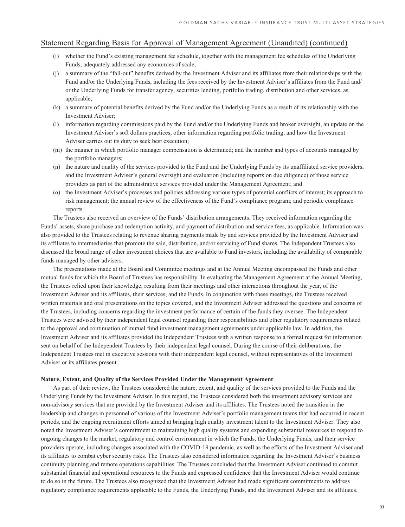- (i) whether the Fund's existing management fee schedule, together with the management fee schedules of the Underlying Funds, adequately addressed any economies of scale;
- (j) a summary of the "fall-out" benefits derived by the Investment Adviser and its affiliates from their relationships with the Fund and/or the Underlying Funds, including the fees received by the Investment Adviser's affiliates from the Fund and/ or the Underlying Funds for transfer agency, securities lending, portfolio trading, distribution and other services, as applicable;
- (k) a summary of potential benefits derived by the Fund and/or the Underlying Funds as a result of its relationship with the Investment Adviser;
- (l) information regarding commissions paid by the Fund and/or the Underlying Funds and broker oversight, an update on the Investment Adviser's soft dollars practices, other information regarding portfolio trading, and how the Investment Adviser carries out its duty to seek best execution;
- (m) the manner in which portfolio manager compensation is determined; and the number and types of accounts managed by the portfolio managers;
- (n) the nature and quality of the services provided to the Fund and the Underlying Funds by its unaffiliated service providers, and the Investment Adviser's general oversight and evaluation (including reports on due diligence) of those service providers as part of the administrative services provided under the Management Agreement; and
- (o) the Investment Adviser's processes and policies addressing various types of potential conflicts of interest; its approach to risk management; the annual review of the effectiveness of the Fund's compliance program; and periodic compliance reports.

The Trustees also received an overview of the Funds' distribution arrangements. They received information regarding the Funds' assets, share purchase and redemption activity, and payment of distribution and service fees, as applicable. Information was also provided to the Trustees relating to revenue sharing payments made by and services provided by the Investment Adviser and its affiliates to intermediaries that promote the sale, distribution, and/or servicing of Fund shares. The Independent Trustees also discussed the broad range of other investment choices that are available to Fund investors, including the availability of comparable funds managed by other advisers.

The presentations made at the Board and Committee meetings and at the Annual Meeting encompassed the Funds and other mutual funds for which the Board of Trustees has responsibility. In evaluating the Management Agreement at the Annual Meeting, the Trustees relied upon their knowledge, resulting from their meetings and other interactions throughout the year, of the Investment Adviser and its affiliates, their services, and the Funds. In conjunction with these meetings, the Trustees received written materials and oral presentations on the topics covered, and the Investment Adviser addressed the questions and concerns of the Trustees, including concerns regarding the investment performance of certain of the funds they oversee. The Independent Trustees were advised by their independent legal counsel regarding their responsibilities and other regulatory requirements related to the approval and continuation of mutual fund investment management agreements under applicable law. In addition, the Investment Adviser and its affiliates provided the Independent Trustees with a written response to a formal request for information sent on behalf of the Independent Trustees by their independent legal counsel. During the course of their deliberations, the Independent Trustees met in executive sessions with their independent legal counsel, without representatives of the Investment Adviser or its affiliates present.

#### **Nature, Extent, and Quality of the Services Provided Under the Management Agreement**

As part of their review, the Trustees considered the nature, extent, and quality of the services provided to the Funds and the Underlying Funds by the Investment Adviser. In this regard, the Trustees considered both the investment advisory services and non-advisory services that are provided by the Investment Adviser and its affiliates. The Trustees noted the transition in the leadership and changes in personnel of various of the Investment Adviser's portfolio management teams that had occurred in recent periods, and the ongoing recruitment efforts aimed at bringing high quality investment talent to the Investment Adviser. They also noted the Investment Adviser's commitment to maintaining high quality systems and expending substantial resources to respond to ongoing changes to the market, regulatory and control environment in which the Funds, the Underlying Funds, and their service providers operate, including changes associated with the COVID-19 pandemic, as well as the efforts of the Investment Adviser and its affiliates to combat cyber security risks. The Trustees also considered information regarding the Investment Adviser's business continuity planning and remote operations capabilities. The Trustees concluded that the Investment Adviser continued to commit substantial financial and operational resources to the Funds and expressed confidence that the Investment Adviser would continue to do so in the future. The Trustees also recognized that the Investment Adviser had made significant commitments to address regulatory compliance requirements applicable to the Funds, the Underlying Funds, and the Investment Adviser and its affiliates.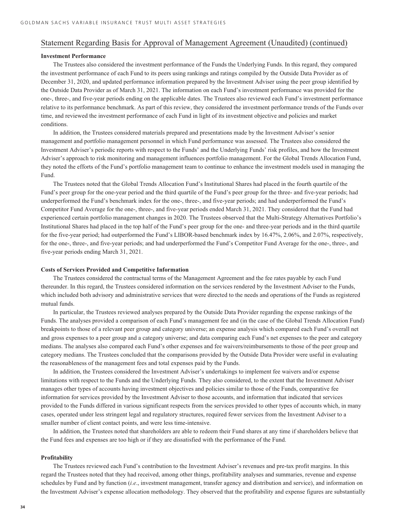### **Investment Performance**

The Trustees also considered the investment performance of the Funds the Underlying Funds. In this regard, they compared the investment performance of each Fund to its peers using rankings and ratings compiled by the Outside Data Provider as of December 31, 2020, and updated performance information prepared by the Investment Adviser using the peer group identified by the Outside Data Provider as of March 31, 2021. The information on each Fund's investment performance was provided for the one-, three-, and five-year periods ending on the applicable dates. The Trustees also reviewed each Fund's investment performance relative to its performance benchmark. As part of this review, they considered the investment performance trends of the Funds over time, and reviewed the investment performance of each Fund in light of its investment objective and policies and market conditions.

In addition, the Trustees considered materials prepared and presentations made by the Investment Adviser's senior management and portfolio management personnel in which Fund performance was assessed. The Trustees also considered the Investment Adviser's periodic reports with respect to the Funds' and the Underlying Funds' risk profiles, and how the Investment Adviser's approach to risk monitoring and management influences portfolio management. For the Global Trends Allocation Fund, they noted the efforts of the Fund's portfolio management team to continue to enhance the investment models used in managing the Fund.

The Trustees noted that the Global Trends Allocation Fund's Institutional Shares had placed in the fourth quartile of the Fund's peer group for the one-year period and the third quartile of the Fund's peer group for the three- and five-year periods; had underperformed the Fund's benchmark index for the one-, three-, and five-year periods; and had underperformed the Fund's Competitor Fund Average for the one-, three-, and five-year periods ended March 31, 2021. They considered that the Fund had experienced certain portfolio management changes in 2020. The Trustees observed that the Multi-Strategy Alternatives Portfolio's Institutional Shares had placed in the top half of the Fund's peer group for the one- and three-year periods and in the third quartile for the five-year period; had outperformed the Fund's LIBOR-based benchmark index by 16.47%, 2.06%, and 2.07%, respectively, for the one-, three-, and five-year periods; and had underperformed the Fund's Competitor Fund Average for the one-, three-, and five-year periods ending March 31, 2021.

#### **Costs of Services Provided and Competitive Information**

The Trustees considered the contractual terms of the Management Agreement and the fee rates payable by each Fund thereunder. In this regard, the Trustees considered information on the services rendered by the Investment Adviser to the Funds, which included both advisory and administrative services that were directed to the needs and operations of the Funds as registered mutual funds.

In particular, the Trustees reviewed analyses prepared by the Outside Data Provider regarding the expense rankings of the Funds. The analyses provided a comparison of each Fund's management fee and (in the case of the Global Trends Allocation Fund) breakpoints to those of a relevant peer group and category universe; an expense analysis which compared each Fund's overall net and gross expenses to a peer group and a category universe; and data comparing each Fund's net expenses to the peer and category medians. The analyses also compared each Fund's other expenses and fee waivers/reimbursements to those of the peer group and category medians. The Trustees concluded that the comparisons provided by the Outside Data Provider were useful in evaluating the reasonableness of the management fees and total expenses paid by the Funds.

In addition, the Trustees considered the Investment Adviser's undertakings to implement fee waivers and/or expense limitations with respect to the Funds and the Underlying Funds. They also considered, to the extent that the Investment Adviser manages other types of accounts having investment objectives and policies similar to those of the Funds, comparative fee information for services provided by the Investment Adviser to those accounts, and information that indicated that services provided to the Funds differed in various significant respects from the services provided to other types of accounts which, in many cases, operated under less stringent legal and regulatory structures, required fewer services from the Investment Adviser to a smaller number of client contact points, and were less time-intensive.

In addition, the Trustees noted that shareholders are able to redeem their Fund shares at any time if shareholders believe that the Fund fees and expenses are too high or if they are dissatisfied with the performance of the Fund.

#### **Profitability**

The Trustees reviewed each Fund's contribution to the Investment Adviser's revenues and pre-tax profit margins. In this regard the Trustees noted that they had received, among other things, profitability analyses and summaries, revenue and expense schedules by Fund and by function (*i.e*., investment management, transfer agency and distribution and service), and information on the Investment Adviser's expense allocation methodology. They observed that the profitability and expense figures are substantially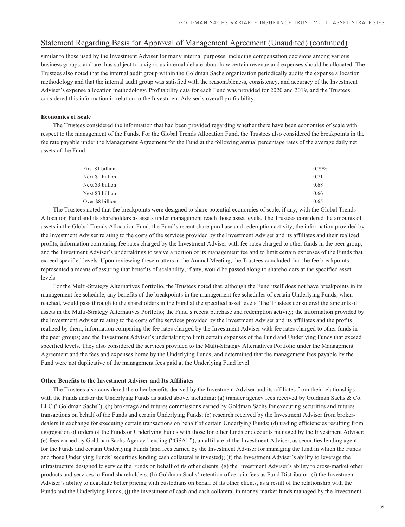similar to those used by the Investment Adviser for many internal purposes, including compensation decisions among various business groups, and are thus subject to a vigorous internal debate about how certain revenue and expenses should be allocated. The Trustees also noted that the internal audit group within the Goldman Sachs organization periodically audits the expense allocation methodology and that the internal audit group was satisfied with the reasonableness, consistency, and accuracy of the Investment Adviser's expense allocation methodology. Profitability data for each Fund was provided for 2020 and 2019, and the Trustees considered this information in relation to the Investment Adviser's overall profitability.

#### **Economies of Scale**

The Trustees considered the information that had been provided regarding whether there have been economies of scale with respect to the management of the Funds. For the Global Trends Allocation Fund, the Trustees also considered the breakpoints in the fee rate payable under the Management Agreement for the Fund at the following annual percentage rates of the average daily net assets of the Fund:

| First \$1 billion | 0.79% |
|-------------------|-------|
| Next \$1 billion  | 0.71  |
| Next \$3 billion  | 0.68  |
| Next \$3 billion  | 0.66  |
| Over \$8 billion  | 0.65  |

The Trustees noted that the breakpoints were designed to share potential economies of scale, if any, with the Global Trends Allocation Fund and its shareholders as assets under management reach those asset levels. The Trustees considered the amounts of assets in the Global Trends Allocation Fund; the Fund's recent share purchase and redemption activity; the information provided by the Investment Adviser relating to the costs of the services provided by the Investment Adviser and its affiliates and their realized profits; information comparing fee rates charged by the Investment Adviser with fee rates charged to other funds in the peer group; and the Investment Adviser's undertakings to waive a portion of its management fee and to limit certain expenses of the Funds that exceed specified levels. Upon reviewing these matters at the Annual Meeting, the Trustees concluded that the fee breakpoints represented a means of assuring that benefits of scalability, if any, would be passed along to shareholders at the specified asset levels.

For the Multi-Strategy Alternatives Portfolio, the Trustees noted that, although the Fund itself does not have breakpoints in its management fee schedule, any benefits of the breakpoints in the management fee schedules of certain Underlying Funds, when reached, would pass through to the shareholders in the Fund at the specified asset levels. The Trustees considered the amounts of assets in the Multi-Strategy Alternatives Portfolio; the Fund's recent purchase and redemption activity; the information provided by the Investment Adviser relating to the costs of the services provided by the Investment Adviser and its affiliates and the profits realized by them; information comparing the fee rates charged by the Investment Adviser with fee rates charged to other funds in the peer groups; and the Investment Adviser's undertaking to limit certain expenses of the Fund and Underlying Funds that exceed specified levels. They also considered the services provided to the Multi-Strategy Alternatives Portfolio under the Management Agreement and the fees and expenses borne by the Underlying Funds, and determined that the management fees payable by the Fund were not duplicative of the management fees paid at the Underlying Fund level.

#### **Other Benefits to the Investment Adviser and Its Affiliates**

The Trustees also considered the other benefits derived by the Investment Adviser and its affiliates from their relationships with the Funds and/or the Underlying Funds as stated above, including: (a) transfer agency fees received by Goldman Sachs & Co. LLC ("Goldman Sachs"); (b) brokerage and futures commissions earned by Goldman Sachs for executing securities and futures transactions on behalf of the Funds and certain Underlying Funds; (c) research received by the Investment Adviser from brokerdealers in exchange for executing certain transactions on behalf of certain Underlying Funds; (d) trading efficiencies resulting from aggregation of orders of the Funds or Underlying Funds with those for other funds or accounts managed by the Investment Adviser; (e) fees earned by Goldman Sachs Agency Lending ("GSAL"), an affiliate of the Investment Adviser, as securities lending agent for the Funds and certain Underlying Funds (and fees earned by the Investment Adviser for managing the fund in which the Funds' and those Underlying Funds' securities lending cash collateral is invested); (f) the Investment Adviser's ability to leverage the infrastructure designed to service the Funds on behalf of its other clients; (g) the Investment Adviser's ability to cross-market other products and services to Fund shareholders; (h) Goldman Sachs' retention of certain fees as Fund Distributor; (i) the Investment Adviser's ability to negotiate better pricing with custodians on behalf of its other clients, as a result of the relationship with the Funds and the Underlying Funds; (j) the investment of cash and cash collateral in money market funds managed by the Investment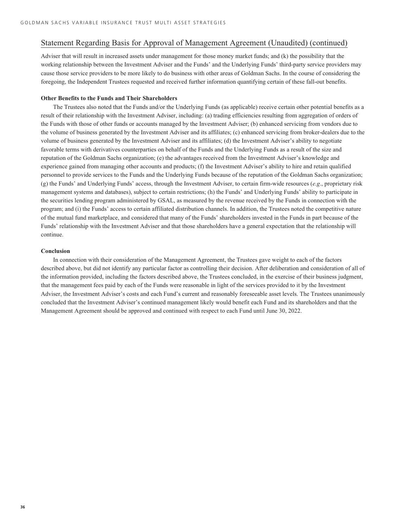Adviser that will result in increased assets under management for those money market funds; and (k) the possibility that the working relationship between the Investment Adviser and the Funds' and the Underlying Funds' third-party service providers may cause those service providers to be more likely to do business with other areas of Goldman Sachs. In the course of considering the foregoing, the Independent Trustees requested and received further information quantifying certain of these fall-out benefits.

#### **Other Benefits to the Funds and Their Shareholders**

The Trustees also noted that the Funds and/or the Underlying Funds (as applicable) receive certain other potential benefits as a result of their relationship with the Investment Adviser, including: (a) trading efficiencies resulting from aggregation of orders of the Funds with those of other funds or accounts managed by the Investment Adviser; (b) enhanced servicing from vendors due to the volume of business generated by the Investment Adviser and its affiliates; (c) enhanced servicing from broker-dealers due to the volume of business generated by the Investment Adviser and its affiliates; (d) the Investment Adviser's ability to negotiate favorable terms with derivatives counterparties on behalf of the Funds and the Underlying Funds as a result of the size and reputation of the Goldman Sachs organization; (e) the advantages received from the Investment Adviser's knowledge and experience gained from managing other accounts and products; (f) the Investment Adviser's ability to hire and retain qualified personnel to provide services to the Funds and the Underlying Funds because of the reputation of the Goldman Sachs organization; (g) the Funds' and Underlying Funds' access, through the Investment Adviser, to certain firm-wide resources (*e.g*., proprietary risk management systems and databases), subject to certain restrictions; (h) the Funds' and Underlying Funds' ability to participate in the securities lending program administered by GSAL, as measured by the revenue received by the Funds in connection with the program; and (i) the Funds' access to certain affiliated distribution channels. In addition, the Trustees noted the competitive nature of the mutual fund marketplace, and considered that many of the Funds' shareholders invested in the Funds in part because of the Funds' relationship with the Investment Adviser and that those shareholders have a general expectation that the relationship will continue.

#### **Conclusion**

In connection with their consideration of the Management Agreement, the Trustees gave weight to each of the factors described above, but did not identify any particular factor as controlling their decision. After deliberation and consideration of all of the information provided, including the factors described above, the Trustees concluded, in the exercise of their business judgment, that the management fees paid by each of the Funds were reasonable in light of the services provided to it by the Investment Adviser, the Investment Adviser's costs and each Fund's current and reasonably foreseeable asset levels. The Trustees unanimously concluded that the Investment Adviser's continued management likely would benefit each Fund and its shareholders and that the Management Agreement should be approved and continued with respect to each Fund until June 30, 2022.